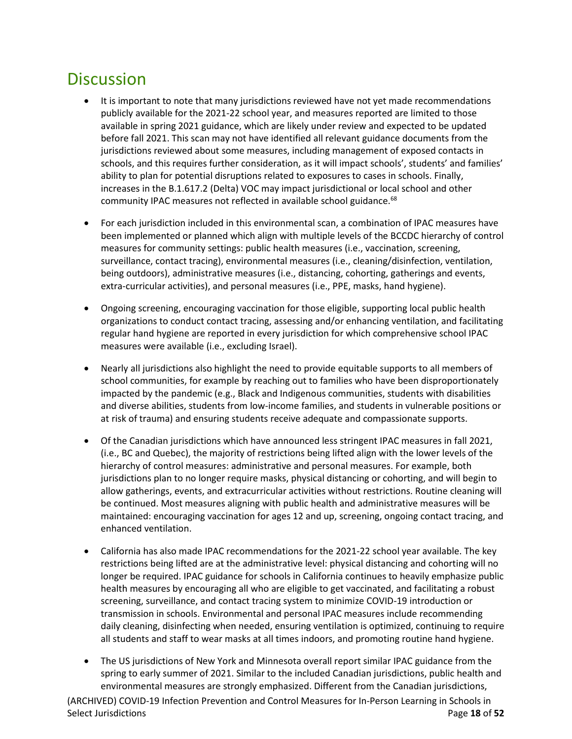## **Discussion**

- It is important to note that many jurisdictions reviewed have not yet made recommendations publicly available for the 2021-22 school year, and measures reported are limited to those available in spring 2021 guidance, which are likely under review and expected to be updated before fall 2021. This scan may not have identified all relevant guidance documents from the jurisdictions reviewed about some measures, including management of exposed contacts in schools, and this requires further consideration, as it will impact schools', students' and families' ability to plan for potential disruptions related to exposures to cases in schools. Finally, increases in the B.1.617.2 (Delta) VOC may impact jurisdictional or local school and other community IPAC measures not reflected in available school guidance.<sup>68</sup>
- For each jurisdiction included in this environmental scan, a combination of IPAC measures have been implemented or planned which align with multiple levels of the BCCDC hierarchy of control measures for community settings: public health measures (i.e., vaccination, screening, surveillance, contact tracing), environmental measures (i.e., cleaning/disinfection, ventilation, being outdoors), administrative measures (i.e., distancing, cohorting, gatherings and events, extra-curricular activities), and personal measures (i.e., PPE, masks, hand hygiene).
- Ongoing screening, encouraging vaccination for those eligible, supporting local public health organizations to conduct contact tracing, assessing and/or enhancing ventilation, and facilitating regular hand hygiene are reported in every jurisdiction for which comprehensive school IPAC measures were available (i.e., excluding Israel).
- Nearly all jurisdictions also highlight the need to provide equitable supports to all members of school communities, for example by reathing out to families who have been disproportionately impacted by the pandemic (e.g., Black and Indigenous communities, students with disabilities and diverse abilities, students from low-income families, and students in vulnerable positions or at risk of trauma) and ensuring students receive adequate and compassionate supports. ARCHIVE
- Of the Canadian jurisdictions which have announced less stringent IPAC measures in fall 2021, (i.e., BC and Quebec), the majority of restrictions being lifted align with the lower levels of the hierarchy of control measures: administrative and personal measures. For example, both jurisdictions plan to no longer require masks, physical distancing or cohorting, and will begin to allow gatherings, events, and extracurricular activities without restrictions. Routine cleaning will be continued. Most measures aligning with public health and administrative measures will be maintained: encouraging vaccination for ages 12 and up, screening, ongoing contact tracing, and enhanced ventilation.
- California has also made IPAC recommendations for the 2021-22 school year available. The key restrictions being lifted are at the administrative level: physical distancing and cohorting will no longer be required. IPAC guidance for schools in California continues to heavily emphasize public health measures by encouraging all who are eligible to get vaccinated, and facilitating a robust screening, surveillance, and contact tracing system to minimize COVID-19 introduction or transmission in schools. Environmental and personal IPAC measures include recommending daily cleaning, disinfecting when needed, ensuring ventilation is optimized, continuing to require all students and staff to wear masks at all times indoors, and promoting routine hand hygiene.
- The US jurisdictions of New York and Minnesota overall report similar IPAC guidance from the spring to early summer of 2021. Similar to the included Canadian jurisdictions, public health and environmental measures are strongly emphasized. Different from the Canadian jurisdictions,

(ARCHIVED) COVID-19 Infection Prevention and Control Measures for In-Person Learning in Schools in Select Jurisdictions **Page 18** of **52**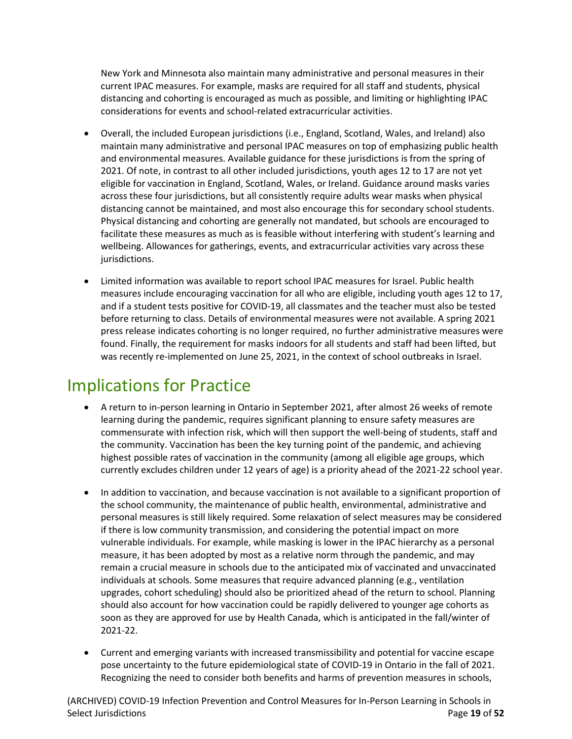New York and Minnesota also maintain many administrative and personal measures in their current IPAC measures. For example, masks are required for all staff and students, physical distancing and cohorting is encouraged as much as possible, and limiting or highlighting IPAC considerations for events and school-related extracurricular activities.

- Overall, the included European jurisdictions (i.e., England, Scotland, Wales, and Ireland) also maintain many administrative and personal IPAC measures on top of emphasizing public health and environmental measures. Available guidance for these jurisdictions is from the spring of 2021. Of note, in contrast to all other included jurisdictions, youth ages 12 to 17 are not yet eligible for vaccination in England, Scotland, Wales, or Ireland. Guidance around masks varies across these four jurisdictions, but all consistently require adults wear masks when physical distancing cannot be maintained, and most also encourage this for secondary school students. Physical distancing and cohorting are generally not mandated, but schools are encouraged to facilitate these measures as much as is feasible without interfering with student's learning and wellbeing. Allowances for gatherings, events, and extracurricular activities vary across these jurisdictions.
- Limited information was available to report school IPAC measures for Israel. Public health measures include encouraging vaccination for all who are eligible, including youth ages 12 to 17, and if a student tests positive for COVID-19, all classmates and the teacher must also be tested before returning to class. Details of environmental measures were not available. A spring 2021 press release indicates cohorting is no longer required, no further administrative measures were found. Finally, the requirement for masks indoors for all students and staff had been lifted, but was recently re-implemented on June 25, 2021, in the context of school outbreaks in Israel.

## Implications for Practice

- A return to in-person learning in Ontario in September 2021, after almost 26 weeks of remote learning during the pandemic, requires significant planning to ensure safety measures are commensurate with infection risk, which will then support the well-being of students, staff and the community. Vaccination has been the key turning point of the pandemic, and achieving highest possible rates of vaccination in the community (among all eligible age groups, which currently excludes children under 12 years of age) is a priority ahead of the 2021-22 school year.
- In addition to vaccination, and because vaccination is not available to a significant proportion of the school community, the maintenance of public health, environmental, administrative and personal measures is still likely required. Some relaxation of select measures may be considered if there is low community transmission, and considering the potential impact on more vulnerable individuals. For example, while masking is lower in the IPAC hierarchy as a personal measure, it has been adopted by most as a relative norm through the pandemic, and may remain a crucial measure in schools due to the anticipated mix of vaccinated and unvaccinated individuals at schools. Some measures that require advanced planning (e.g., ventilation upgrades, cohort scheduling) should also be prioritized ahead of the return to school. Planning should also account for how vaccination could be rapidly delivered to younger age cohorts as soon as they are approved for use by Health Canada, which is anticipated in the fall/winter of 2021-22.
- Current and emerging variants with increased transmissibility and potential for vaccine escape pose uncertainty to the future epidemiological state of COVID-19 in Ontario in the fall of 2021. Recognizing the need to consider both benefits and harms of prevention measures in schools,

(ARCHIVED) COVID-19 Infection Prevention and Control Measures for In-Person Learning in Schools in Select Jurisdictions **Page 19 of 52**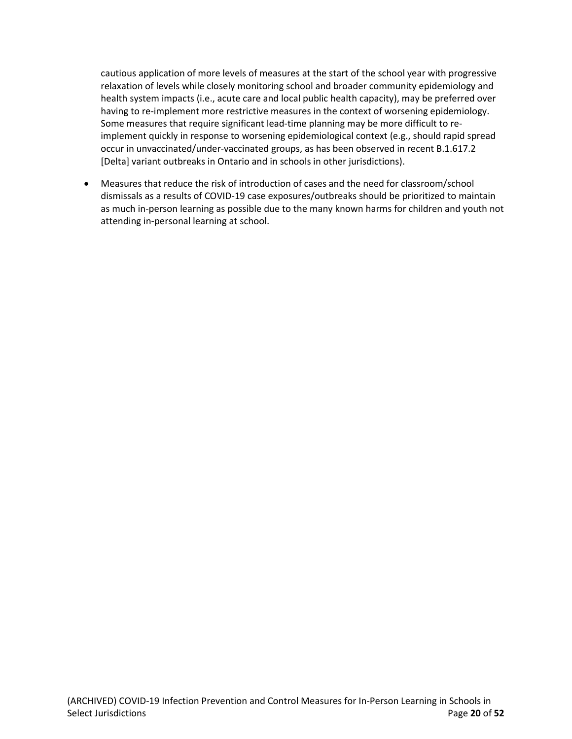cautious application of more levels of measures at the start of the school year with progressive relaxation of levels while closely monitoring school and broader community epidemiology and health system impacts (i.e., acute care and local public health capacity), may be preferred over having to re-implement more restrictive measures in the context of worsening epidemiology. Some measures that require significant lead-time planning may be more difficult to reimplement quickly in response to worsening epidemiological context (e.g., should rapid spread occur in unvaccinated/under-vaccinated groups, as has been observed in recent B.1.617.2 [Delta] variant outbreaks in Ontario and in schools in other jurisdictions).

• Measures that reduce the risk of introduction of cases and the need for classroom/school dismissals as a results of COVID-19 case exposures/outbreaks should be prioritized to maintain as much in-person learning as possible due to the many known harms for children and youth not attending in-personal learning at school.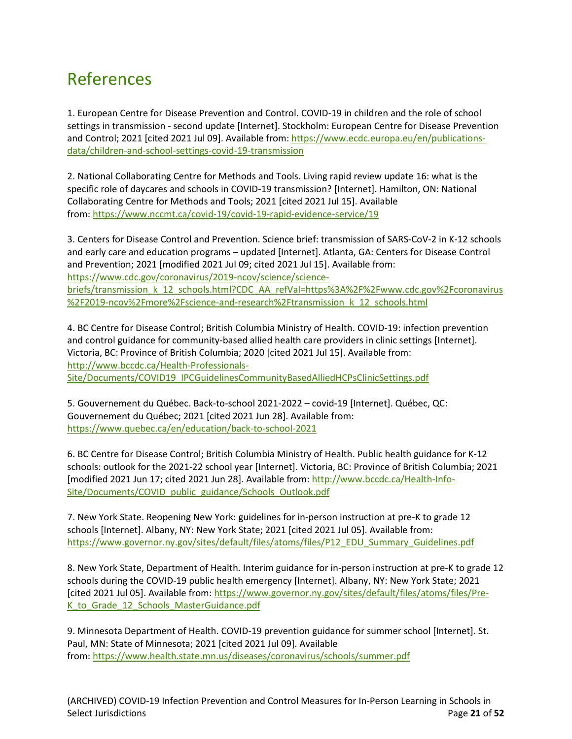## References

1. European Centre for Disease Prevention and Control. COVID-19 in children and the role of school settings in transmission - second update [Internet]. Stockholm: European Centre for Disease Prevention and Control; 2021 [cited 2021 Jul 09]. Available from: [https://www.ecdc.europa.eu/en/publications](https://www.ecdc.europa.eu/en/publications-data/children-and-school-settings-covid-19-transmission)[data/children-and-school-settings-covid-19-transmission](https://www.ecdc.europa.eu/en/publications-data/children-and-school-settings-covid-19-transmission)

2. National Collaborating Centre for Methods and Tools. Living rapid review update 16: what is the specific role of daycares and schools in COVID-19 transmission? [Internet]. Hamilton, ON: National Collaborating Centre for Methods and Tools; 2021 [cited 2021 Jul 15]. Available from: <https://www.nccmt.ca/covid-19/covid-19-rapid-evidence-service/19>

3. Centers for Disease Control and Prevention. Science brief: transmission of SARS-CoV-2 in K-12 schools and early care and education programs – updated [Internet]. Atlanta, GA: Centers for Disease Control and Prevention; 2021 [modified 2021 Jul 09; cited 2021 Jul 15]. Available from: [https://www.cdc.gov/coronavirus/2019-ncov/science/science](https://www.cdc.gov/coronavirus/2019-ncov/science/science-briefs/transmission_k_12_schools.html?CDC_AA_refVal=https%3A%2F%2Fwww.cdc.gov%2Fcoronavirus%2F2019-ncov%2Fmore%2Fscience-and-research%2Ftransmission_k_12_schools.html)[briefs/transmission\\_k\\_12\\_schools.html?CDC\\_AA\\_refVal=https%3A%2F%2Fwww.cdc.gov%2Fcoronavirus](https://www.cdc.gov/coronavirus/2019-ncov/science/science-briefs/transmission_k_12_schools.html?CDC_AA_refVal=https%3A%2F%2Fwww.cdc.gov%2Fcoronavirus%2F2019-ncov%2Fmore%2Fscience-and-research%2Ftransmission_k_12_schools.html) [%2F2019-ncov%2Fmore%2Fscience-and-research%2Ftransmission\\_k\\_12\\_schools.html](https://www.cdc.gov/coronavirus/2019-ncov/science/science-briefs/transmission_k_12_schools.html?CDC_AA_refVal=https%3A%2F%2Fwww.cdc.gov%2Fcoronavirus%2F2019-ncov%2Fmore%2Fscience-and-research%2Ftransmission_k_12_schools.html)

4. BC Centre for Disease Control; British Columbia Ministry of Health. COVID-19: infection prevention and control guidance for community-based allied health care providers in clinic settings [Internet]. Victoria, BC: Province of British Columbia; 2020 [cited 2021 Jul 15]. Available from: [http://www.bccdc.ca/Health-Professionals-](http://www.bccdc.ca/Health-Professionals-Site/Documents/COVID19_IPCGuidelinesCommunityBasedAlliedHCPsClinicSettings.pdf)[Site/Documents/COVID19\\_IPCGuidelinesCommunityBasedAlliedHCPsClinicSettings.pdf](http://www.bccdc.ca/Health-Professionals-Site/Documents/COVID19_IPCGuidelinesCommunityBasedAlliedHCPsClinicSettings.pdf)

5. Gouvernement du Québec. Back-to-school 2021-2022 – covid-19 [Internet]. Québec, QC: Gouvernement du Québec; 2021 [cited 2021 Jun 28]. Available from: <https://www.quebec.ca/en/education/back-to-school-2021>

6. BC Centre for Disease Control; British Columbia Ministry of Health. Public health guidance for K-12 schools: outlook for the 2021-22 school year [Internet]. Victoria, BC: Province of British Columbia; 2021 [modified 2021 Jun 17; cited 2021 Jun 28]. Available from: [http://www.bccdc.ca/Health-Info-](http://www.bccdc.ca/Health-Info-Site/Documents/COVID_public_guidance/Schools_Outlook.pdf)[Site/Documents/COVID\\_public\\_guidance/Schools\\_Outlook.pdf](http://www.bccdc.ca/Health-Info-Site/Documents/COVID_public_guidance/Schools_Outlook.pdf)

7. New York State. Reopening New York: guidelines for in-person instruction at pre-K to grade 12 schools [Internet]. Albany, NY: New York State; 2021 [cited 2021 Jul 05]. Available from: [https://www.governor.ny.gov/sites/default/files/atoms/files/P12\\_EDU\\_Summary\\_Guidelines.pdf](https://www.governor.ny.gov/sites/default/files/atoms/files/P12_EDU_Summary_Guidelines.pdf)

8. New York State, Department of Health. Interim guidance for in-person instruction at pre-K to grade 12 schools during the COVID-19 public health emergency [Internet]. Albany, NY: New York State; 2021 [cited 2021 Jul 05]. Available from: [https://www.governor.ny.gov/sites/default/files/atoms/files/Pre-](https://www.governor.ny.gov/sites/default/files/atoms/files/Pre-K_to_Grade_12_Schools_MasterGuidance.pdf)[K\\_to\\_Grade\\_12\\_Schools\\_MasterGuidance.pdf](https://www.governor.ny.gov/sites/default/files/atoms/files/Pre-K_to_Grade_12_Schools_MasterGuidance.pdf)

9. Minnesota Department of Health. COVID-19 prevention guidance for summer school [Internet]. St. Paul, MN: State of Minnesota; 2021 [cited 2021 Jul 09]. Available from: <https://www.health.state.mn.us/diseases/coronavirus/schools/summer.pdf>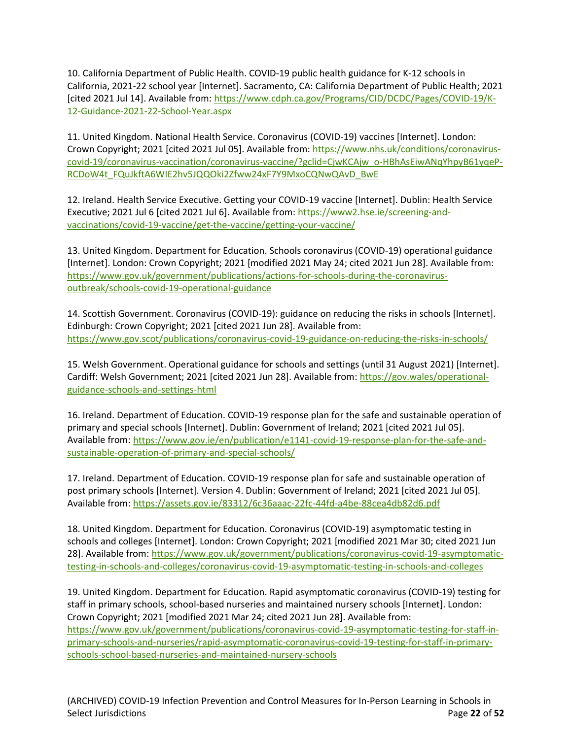10. California Department of Public Health. COVID-19 public health guidance for K-12 schools in California, 2021-22 school year [Internet]. Sacramento, CA: California Department of Public Health; 2021 [cited 2021 Jul 14]. Available from: [https://www.cdph.ca.gov/Programs/CID/DCDC/Pages/COVID-19/K-](https://www.cdph.ca.gov/Programs/CID/DCDC/Pages/COVID-19/K-12-Guidance-2021-22-School-Year.aspx)[12-Guidance-2021-22-School-Year.aspx](https://www.cdph.ca.gov/Programs/CID/DCDC/Pages/COVID-19/K-12-Guidance-2021-22-School-Year.aspx)

11. United Kingdom. National Health Service. Coronavirus (COVID-19) vaccines [Internet]. London: Crown Copyright; 2021 [cited 2021 Jul 05]. Available from: [https://www.nhs.uk/conditions/coronavirus](https://www.nhs.uk/conditions/coronavirus-covid-19/coronavirus-vaccination/coronavirus-vaccine/?gclid=CjwKCAjw_o-HBhAsEiwANqYhpyB61yqeP-RCDoW4t_FQuJkftA6WIE2hv5JQQOki2Zfww24xF7Y9MxoCQNwQAvD_BwE)[covid-19/coronavirus-vaccination/coronavirus-vaccine/?gclid=CjwKCAjw\\_o-HBhAsEiwANqYhpyB61yqeP-](https://www.nhs.uk/conditions/coronavirus-covid-19/coronavirus-vaccination/coronavirus-vaccine/?gclid=CjwKCAjw_o-HBhAsEiwANqYhpyB61yqeP-RCDoW4t_FQuJkftA6WIE2hv5JQQOki2Zfww24xF7Y9MxoCQNwQAvD_BwE)[RCDoW4t\\_FQuJkftA6WIE2hv5JQQOki2Zfww24xF7Y9MxoCQNwQAvD\\_BwE](https://www.nhs.uk/conditions/coronavirus-covid-19/coronavirus-vaccination/coronavirus-vaccine/?gclid=CjwKCAjw_o-HBhAsEiwANqYhpyB61yqeP-RCDoW4t_FQuJkftA6WIE2hv5JQQOki2Zfww24xF7Y9MxoCQNwQAvD_BwE)

12. Ireland. Health Service Executive. Getting your COVID-19 vaccine [Internet]. Dublin: Health Service Executive; 2021 Jul 6 [cited 2021 Jul 6]. Available from: [https://www2.hse.ie/screening-and](https://www2.hse.ie/screening-and-vaccinations/covid-19-vaccine/get-the-vaccine/getting-your-vaccine/)[vaccinations/covid-19-vaccine/get-the-vaccine/getting-your-vaccine/](https://www2.hse.ie/screening-and-vaccinations/covid-19-vaccine/get-the-vaccine/getting-your-vaccine/)

13. United Kingdom. Department for Education. Schools coronavirus (COVID-19) operational guidance [Internet]. London: Crown Copyright; 2021 [modified 2021 May 24; cited 2021 Jun 28]. Available from: [https://www.gov.uk/government/publications/actions-for-schools-during-the-coronavirus](https://www.gov.uk/government/publications/actions-for-schools-during-the-coronavirus-outbreak/schools-covid-19-operational-guidance)[outbreak/schools-covid-19-operational-guidance](https://www.gov.uk/government/publications/actions-for-schools-during-the-coronavirus-outbreak/schools-covid-19-operational-guidance)

14. Scottish Government. Coronavirus (COVID-19): guidance on reducing the risks in schools [Internet]. Edinburgh: Crown Copyright; 2021 [cited 2021 Jun 28]. Available from: <https://www.gov.scot/publications/coronavirus-covid-19-guidance-on-reducing-the-risks-in-schools/>

15. Welsh Government. Operational guidance for schools and settings (until 31 August 2021) [Internet]. Cardiff: Welsh Government; 2021 [cited 2021 Jun 28]. Available from: [https://gov.wales/operational](https://gov.wales/operational-guidance-schools-and-settings-html)[guidance-schools-and-settings-html](https://gov.wales/operational-guidance-schools-and-settings-html)

16. Ireland. Department of Education. COVID-19 response plan for the safe and sustainable operation of primary and special schools [Internet]. Dublin: Government of Ireland; 2021 [cited 2021 Jul 05]. Available from: [https://www.gov.ie/en/publication/e1141-covid-19-response-plan-for-the-safe-and](https://www.gov.ie/en/publication/e1141-covid-19-response-plan-for-the-safe-and-sustainable-operation-of-primary-and-special-schools/)[sustainable-operation-of-primary-and-special-schools/](https://www.gov.ie/en/publication/e1141-covid-19-response-plan-for-the-safe-and-sustainable-operation-of-primary-and-special-schools/)

17. Ireland. Department of Education. COVID-19 response plan for safe and sustainable operation of post primary schools [Internet]. Version 4. Dublin: Government of Ireland; 2021 [cited 2021 Jul 05]. Available from: <https://assets.gov.ie/83312/6c36aaac-22fc-44fd-a4be-88cea4db82d6.pdf>

18. United Kingdom. Department for Education. Coronavirus (COVID-19) asymptomatic testing in schools and colleges [Internet]. London: Crown Copyright; 2021 [modified 2021 Mar 30; cited 2021 Jun 28]. Available from: [https://www.gov.uk/government/publications/coronavirus-covid-19-asymptomatic](https://www.gov.uk/government/publications/coronavirus-covid-19-asymptomatic-testing-in-schools-and-colleges/coronavirus-covid-19-asymptomatic-testing-in-schools-and-colleges)[testing-in-schools-and-colleges/coronavirus-covid-19-asymptomatic-testing-in-schools-and-colleges](https://www.gov.uk/government/publications/coronavirus-covid-19-asymptomatic-testing-in-schools-and-colleges/coronavirus-covid-19-asymptomatic-testing-in-schools-and-colleges)

19. United Kingdom. Department for Education. Rapid asymptomatic coronavirus (COVID-19) testing for staff in primary schools, school-based nurseries and maintained nursery schools [Internet]. London: Crown Copyright; 2021 [modified 2021 Mar 24; cited 2021 Jun 28]. Available from: [https://www.gov.uk/government/publications/coronavirus-covid-19-asymptomatic-testing-for-staff-in](https://www.gov.uk/government/publications/coronavirus-covid-19-asymptomatic-testing-for-staff-in-primary-schools-and-nurseries/rapid-asymptomatic-coronavirus-covid-19-testing-for-staff-in-primary-schools-school-based-nurseries-and-maintained-nursery-schoo)[primary-schools-and-nurseries/rapid-asymptomatic-coronavirus-covid-19-testing-for-staff-in-primary](https://www.gov.uk/government/publications/coronavirus-covid-19-asymptomatic-testing-for-staff-in-primary-schools-and-nurseries/rapid-asymptomatic-coronavirus-covid-19-testing-for-staff-in-primary-schools-school-based-nurseries-and-maintained-nursery-schoo)[schools-school-based-nurseries-and-maintained-nursery-schools](https://www.gov.uk/government/publications/coronavirus-covid-19-asymptomatic-testing-for-staff-in-primary-schools-and-nurseries/rapid-asymptomatic-coronavirus-covid-19-testing-for-staff-in-primary-schools-school-based-nurseries-and-maintained-nursery-schoo)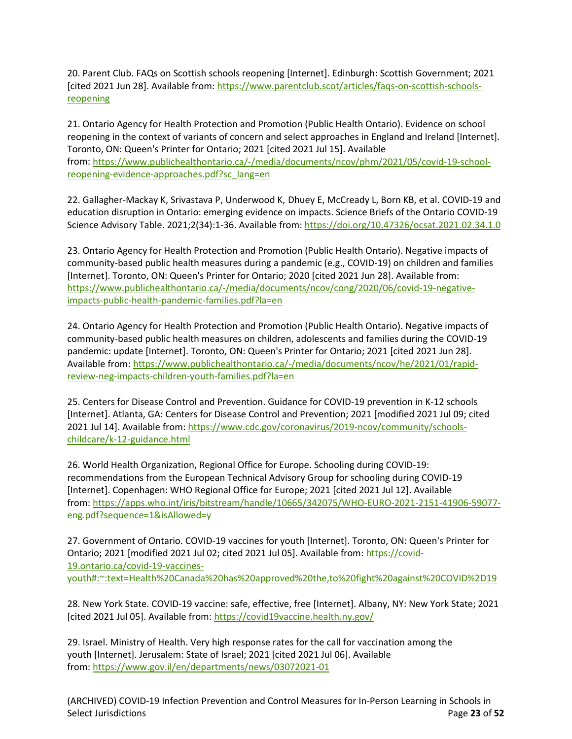20. Parent Club. FAQs on Scottish schools reopening [Internet]. Edinburgh: Scottish Government; 2021 [cited 2021 Jun 28]. Available from: [https://www.parentclub.scot/articles/faqs-on-scottish-schools](https://www.parentclub.scot/articles/faqs-on-scottish-schools-reopening)[reopening](https://www.parentclub.scot/articles/faqs-on-scottish-schools-reopening)

21. Ontario Agency for Health Protection and Promotion (Public Health Ontario). Evidence on school reopening in the context of variants of concern and select approaches in England and Ireland [Internet]. Toronto, ON: Queen's Printer for Ontario; 2021 [cited 2021 Jul 15]. Available from: [https://www.publichealthontario.ca/-/media/documents/ncov/phm/2021/05/covid-19-school](https://www.publichealthontario.ca/-/media/documents/ncov/phm/2021/05/covid-19-school-reopening-evidence-approaches.pdf?sc_lang=en)[reopening-evidence-approaches.pdf?sc\\_lang=en](https://www.publichealthontario.ca/-/media/documents/ncov/phm/2021/05/covid-19-school-reopening-evidence-approaches.pdf?sc_lang=en)

22. Gallagher-Mackay K, Srivastava P, Underwood K, Dhuey E, McCready L, Born KB, et al. COVID-19 and education disruption in Ontario: emerging evidence on impacts. Science Briefs of the Ontario COVID-19 Science Advisory Table. 2021;2(34):1-36. Available from:<https://doi.org/10.47326/ocsat.2021.02.34.1.0>

23. Ontario Agency for Health Protection and Promotion (Public Health Ontario). Negative impacts of community-based public health measures during a pandemic (e.g., COVID-19) on children and families [Internet]. Toronto, ON: Queen's Printer for Ontario; 2020 [cited 2021 Jun 28]. Available from: [https://www.publichealthontario.ca/-/media/documents/ncov/cong/2020/06/covid-19-negative](https://www.publichealthontario.ca/-/media/documents/ncov/cong/2020/06/covid-19-negative-impacts-public-health-pandemic-families.pdf?la=en%20)[impacts-public-health-pandemic-families.pdf?la=en](https://www.publichealthontario.ca/-/media/documents/ncov/cong/2020/06/covid-19-negative-impacts-public-health-pandemic-families.pdf?la=en%20)

24. Ontario Agency for Health Protection and Promotion (Public Health Ontario). Negative impacts of community-based public health measures on children, adolescents and families during the COVID-19 pandemic: update [Internet]. Toronto, ON: Queen's Printer for Ontario; 2021 [cited 2021 Jun 28]. Available from: [https://www.publichealthontario.ca/-/media/documents/ncov/he/2021/01/rapid](https://www.publichealthontario.ca/-/media/documents/ncov/he/2021/01/rapid-review-neg-impacts-children-youth-families.pdf?la=en)[review-neg-impacts-children-youth-families.pdf?la=en](https://www.publichealthontario.ca/-/media/documents/ncov/he/2021/01/rapid-review-neg-impacts-children-youth-families.pdf?la=en)

25. Centers for Disease Control and Prevention. Guidance for COVID-19 prevention in K-12 schools [Internet]. Atlanta, GA: Centers for Disease Control and Prevention; 2021 [modified 2021 Jul 09; cited 2021 Jul 14]. Available from: [https://www.cdc.gov/coronavirus/2019-ncov/community/schools](https://www.cdc.gov/coronavirus/2019-ncov/community/schools-childcare/k-12-guidance.html)[childcare/k-12-guidance.html](https://www.cdc.gov/coronavirus/2019-ncov/community/schools-childcare/k-12-guidance.html)

26. World Health Organization, Regional Office for Europe. Schooling during COVID-19: recommendations from the European Technical Advisory Group for schooling during COVID-19 [Internet]. Copenhagen: WHO Regional Office for Europe; 2021 [cited 2021 Jul 12]. Available from: [https://apps.who.int/iris/bitstream/handle/10665/342075/WHO-EURO-2021-2151-41906-59077](https://apps.who.int/iris/bitstream/handle/10665/342075/WHO-EURO-2021-2151-41906-59077-eng.pdf?sequence=1&isAllowed=y) [eng.pdf?sequence=1&isAllowed=y](https://apps.who.int/iris/bitstream/handle/10665/342075/WHO-EURO-2021-2151-41906-59077-eng.pdf?sequence=1&isAllowed=y)

27. Government of Ontario. COVID-19 vaccines for youth [Internet]. Toronto, ON: Queen's Printer for Ontario; 2021 [modified 2021 Jul 02; cited 2021 Jul 05]. Available from: [https://covid-](https://covid-19.ontario.ca/covid-19-vaccines-youth#:%7E:text=Health%20Canada%20has%20approved%20the,to%20fight%20against%20COVID%2D19)[19.ontario.ca/covid-19-vaccines](https://covid-19.ontario.ca/covid-19-vaccines-youth#:%7E:text=Health%20Canada%20has%20approved%20the,to%20fight%20against%20COVID%2D19)[youth#:~:text=Health%20Canada%20has%20approved%20the,to%20fight%20against%20COVID%2D19](https://covid-19.ontario.ca/covid-19-vaccines-youth#:%7E:text=Health%20Canada%20has%20approved%20the,to%20fight%20against%20COVID%2D19)

28. New York State. COVID-19 vaccine: safe, effective, free [Internet]. Albany, NY: New York State; 2021 [cited 2021 Jul 05]. Available from: <https://covid19vaccine.health.ny.gov/>

29. Israel. Ministry of Health. Very high response rates for the call for vaccination among the youth [Internet]. Jerusalem: State of Israel; 2021 [cited 2021 Jul 06]. Available from: <https://www.gov.il/en/departments/news/03072021-01>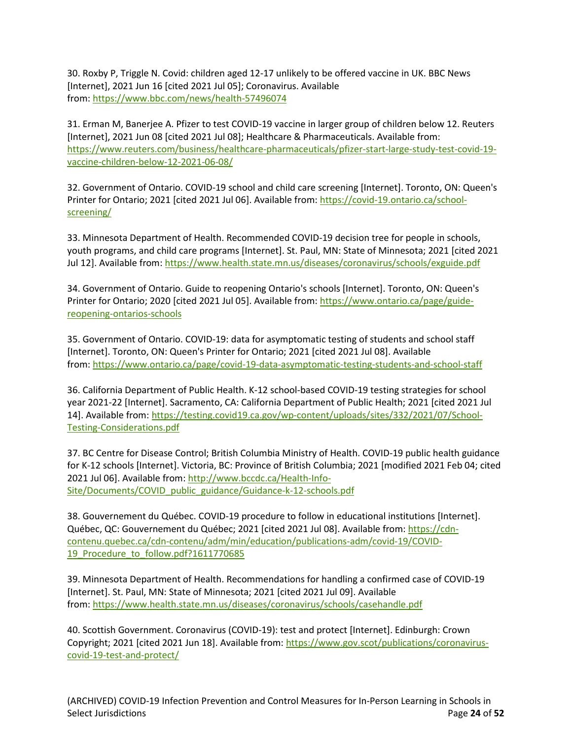30. Roxby P, Triggle N. Covid: children aged 12-17 unlikely to be offered vaccine in UK. BBC News [Internet], 2021 Jun 16 [cited 2021 Jul 05]; Coronavirus. Available from: <https://www.bbc.com/news/health-57496074>

31. Erman M, Banerjee A. Pfizer to test COVID-19 vaccine in larger group of children below 12. Reuters [Internet], 2021 Jun 08 [cited 2021 Jul 08]; Healthcare & Pharmaceuticals. Available from: [https://www.reuters.com/business/healthcare-pharmaceuticals/pfizer-start-large-study-test-covid-19](https://www.reuters.com/business/healthcare-pharmaceuticals/pfizer-start-large-study-test-covid-19-vaccine-children-below-12-2021-06-08/) [vaccine-children-below-12-2021-06-08/](https://www.reuters.com/business/healthcare-pharmaceuticals/pfizer-start-large-study-test-covid-19-vaccine-children-below-12-2021-06-08/)

32. Government of Ontario. COVID-19 school and child care screening [Internet]. Toronto, ON: Queen's Printer for Ontario; 2021 [cited 2021 Jul 06]. Available from: [https://covid-19.ontario.ca/school](https://covid-19.ontario.ca/school-screening/)[screening/](https://covid-19.ontario.ca/school-screening/)

33. Minnesota Department of Health. Recommended COVID-19 decision tree for people in schools, youth programs, and child care programs [Internet]. St. Paul, MN: State of Minnesota; 2021 [cited 2021 Jul 12]. Available from[: https://www.health.state.mn.us/diseases/coronavirus/schools/exguide.pdf](https://www.health.state.mn.us/diseases/coronavirus/schools/exguide.pdf)

34. Government of Ontario. Guide to reopening Ontario's schools [Internet]. Toronto, ON: Queen's Printer for Ontario; 2020 [cited 2021 Jul 05]. Available from: [https://www.ontario.ca/page/guide](https://www.ontario.ca/page/guide-reopening-ontarios-schools)[reopening-ontarios-schools](https://www.ontario.ca/page/guide-reopening-ontarios-schools)

35. Government of Ontario. COVID-19: data for asymptomatic testing of students and school staff [Internet]. Toronto, ON: Queen's Printer for Ontario; 2021 [cited 2021 Jul 08]. Available from: <https://www.ontario.ca/page/covid-19-data-asymptomatic-testing-students-and-school-staff>

36. California Department of Public Health. K-12 school-based COVID-19 testing strategies for school year 2021-22 [Internet]. Sacramento, CA: California Department of Public Health; 2021 [cited 2021 Jul 14]. Available from: [https://testing.covid19.ca.gov/wp-content/uploads/sites/332/2021/07/School-](https://testing.covid19.ca.gov/wp-content/uploads/sites/332/2021/07/School-Testing-Considerations.pdf)[Testing-Considerations.pdf](https://testing.covid19.ca.gov/wp-content/uploads/sites/332/2021/07/School-Testing-Considerations.pdf)

37. BC Centre for Disease Control; British Columbia Ministry of Health. COVID-19 public health guidance for K-12 schools [Internet]. Victoria, BC: Province of British Columbia; 2021 [modified 2021 Feb 04; cited 2021 Jul 06]. Available from: [http://www.bccdc.ca/Health-Info-](http://www.bccdc.ca/Health-Info-Site/Documents/COVID_public_guidance/Guidance-k-12-schools.pdf)[Site/Documents/COVID\\_public\\_guidance/Guidance-k-12-schools.pdf](http://www.bccdc.ca/Health-Info-Site/Documents/COVID_public_guidance/Guidance-k-12-schools.pdf)

38. Gouvernement du Québec. COVID-19 procedure to follow in educational institutions [Internet]. Québec, QC: Gouvernement du Québec; 2021 [cited 2021 Jul 08]. Available from: [https://cdn](https://cdn-contenu.quebec.ca/cdn-contenu/adm/min/education/publications-adm/covid-19/COVID-19_Procedure_to_follow.pdf?1611770685)[contenu.quebec.ca/cdn-contenu/adm/min/education/publications-adm/covid-19/COVID-](https://cdn-contenu.quebec.ca/cdn-contenu/adm/min/education/publications-adm/covid-19/COVID-19_Procedure_to_follow.pdf?1611770685)19 Procedure to follow.pdf?1611770685

39. Minnesota Department of Health. Recommendations for handling a confirmed case of COVID-19 [Internet]. St. Paul, MN: State of Minnesota; 2021 [cited 2021 Jul 09]. Available from: <https://www.health.state.mn.us/diseases/coronavirus/schools/casehandle.pdf>

40. Scottish Government. Coronavirus (COVID-19): test and protect [Internet]. Edinburgh: Crown Copyright; 2021 [cited 2021 Jun 18]. Available from: [https://www.gov.scot/publications/coronavirus](https://www.gov.scot/publications/coronavirus-covid-19-test-and-protect/)[covid-19-test-and-protect/](https://www.gov.scot/publications/coronavirus-covid-19-test-and-protect/)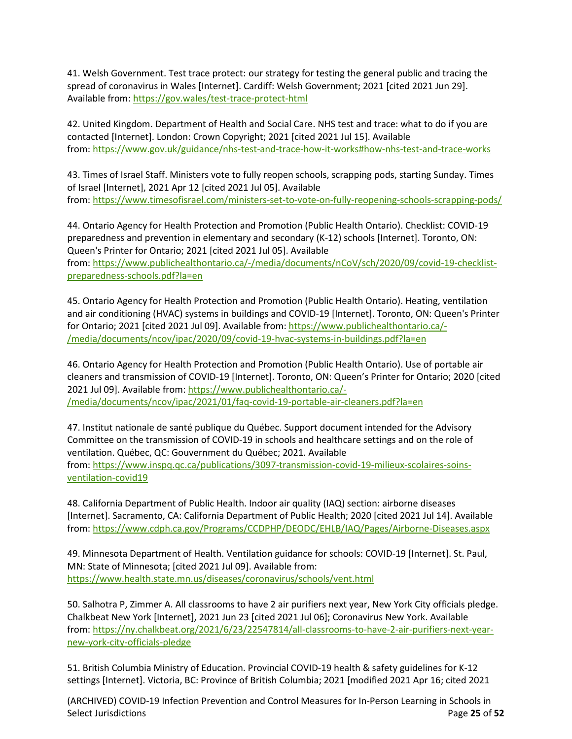41. Welsh Government. Test trace protect: our strategy for testing the general public and tracing the spread of coronavirus in Wales [Internet]. Cardiff: Welsh Government; 2021 [cited 2021 Jun 29]. Available from: <https://gov.wales/test-trace-protect-html>

42. United Kingdom. Department of Health and Social Care. NHS test and trace: what to do if you are contacted [Internet]. London: Crown Copyright; 2021 [cited 2021 Jul 15]. Available from: <https://www.gov.uk/guidance/nhs-test-and-trace-how-it-works#how-nhs-test-and-trace-works>

43. Times of Israel Staff. Ministers vote to fully reopen schools, scrapping pods, starting Sunday. Times of Israel [Internet], 2021 Apr 12 [cited 2021 Jul 05]. Available from: <https://www.timesofisrael.com/ministers-set-to-vote-on-fully-reopening-schools-scrapping-pods/>

44. Ontario Agency for Health Protection and Promotion (Public Health Ontario). Checklist: COVID-19 preparedness and prevention in elementary and secondary (K-12) schools [Internet]. Toronto, ON: Queen's Printer for Ontario; 2021 [cited 2021 Jul 05]. Available

from: [https://www.publichealthontario.ca/-/media/documents/nCoV/sch/2020/09/covid-19-checklist](https://www.publichealthontario.ca/-/media/documents/nCoV/sch/2020/09/covid-19-checklist-preparedness-schools.pdf?la=en)[preparedness-schools.pdf?la=en](https://www.publichealthontario.ca/-/media/documents/nCoV/sch/2020/09/covid-19-checklist-preparedness-schools.pdf?la=en)

45. Ontario Agency for Health Protection and Promotion (Public Health Ontario). Heating, ventilation and air conditioning (HVAC) systems in buildings and COVID-19 [Internet]. Toronto, ON: Queen's Printer for Ontario; 2021 [cited 2021 Jul 09]. Available from: [https://www.publichealthontario.ca/-](https://www.publichealthontario.ca/-/media/documents/ncov/ipac/2020/09/covid-19-hvac-systems-in-buildings.pdf?la=en) [/media/documents/ncov/ipac/2020/09/covid-19-hvac-systems-in-buildings.pdf?la=en](https://www.publichealthontario.ca/-/media/documents/ncov/ipac/2020/09/covid-19-hvac-systems-in-buildings.pdf?la=en)

46. Ontario Agency for Health Protection and Promotion (Public Health Ontario). Use of portable air cleaners and transmission of COVID-19 [Internet]. Toronto, ON: Queen's Printer for Ontario; 2020 [cited 2021 Jul 09]. Available from: [https://www.publichealthontario.ca/-](https://www.publichealthontario.ca/-/media/documents/ncov/ipac/2021/01/faq-covid-19-portable-air-cleaners.pdf?la=en) [/media/documents/ncov/ipac/2021/01/faq-covid-19-portable-air-cleaners.pdf?la=en](https://www.publichealthontario.ca/-/media/documents/ncov/ipac/2021/01/faq-covid-19-portable-air-cleaners.pdf?la=en)

47. Institut nationale de santé publique du Québec. Support document intended for the Advisory Committee on the transmission of COVID-19 in schools and healthcare settings and on the role of ventilation. Québec, QC: Gouvernment du Québec; 2021. Available from: [https://www.inspq.qc.ca/publications/3097-transmission-covid-19-milieux-scolaires-soins](https://www.inspq.qc.ca/publications/3097-transmission-covid-19-milieux-scolaires-soins-ventilation-covid19)[ventilation-covid19](https://www.inspq.qc.ca/publications/3097-transmission-covid-19-milieux-scolaires-soins-ventilation-covid19)

48. California Department of Public Health. Indoor air quality (IAQ) section: airborne diseases [Internet]. Sacramento, CA: California Department of Public Health; 2020 [cited 2021 Jul 14]. Available from:<https://www.cdph.ca.gov/Programs/CCDPHP/DEODC/EHLB/IAQ/Pages/Airborne-Diseases.aspx>

49. Minnesota Department of Health. Ventilation guidance for schools: COVID-19 [Internet]. St. Paul, MN: State of Minnesota; [cited 2021 Jul 09]. Available from: <https://www.health.state.mn.us/diseases/coronavirus/schools/vent.html>

50. Salhotra P, Zimmer A. All classrooms to have 2 air purifiers next year, New York City officials pledge. Chalkbeat New York [Internet], 2021 Jun 23 [cited 2021 Jul 06]; Coronavirus New York. Available from: [https://ny.chalkbeat.org/2021/6/23/22547814/all-classrooms-to-have-2-air-purifiers-next-year](https://ny.chalkbeat.org/2021/6/23/22547814/all-classrooms-to-have-2-air-purifiers-next-year-new-york-city-officials-pledge)[new-york-city-officials-pledge](https://ny.chalkbeat.org/2021/6/23/22547814/all-classrooms-to-have-2-air-purifiers-next-year-new-york-city-officials-pledge)

51. British Columbia Ministry of Education. Provincial COVID-19 health & safety guidelines for K-12 settings [Internet]. Victoria, BC: Province of British Columbia; 2021 [modified 2021 Apr 16; cited 2021

(ARCHIVED) COVID-19 Infection Prevention and Control Measures for In-Person Learning in Schools in Select Jurisdictions **Page 25** of 52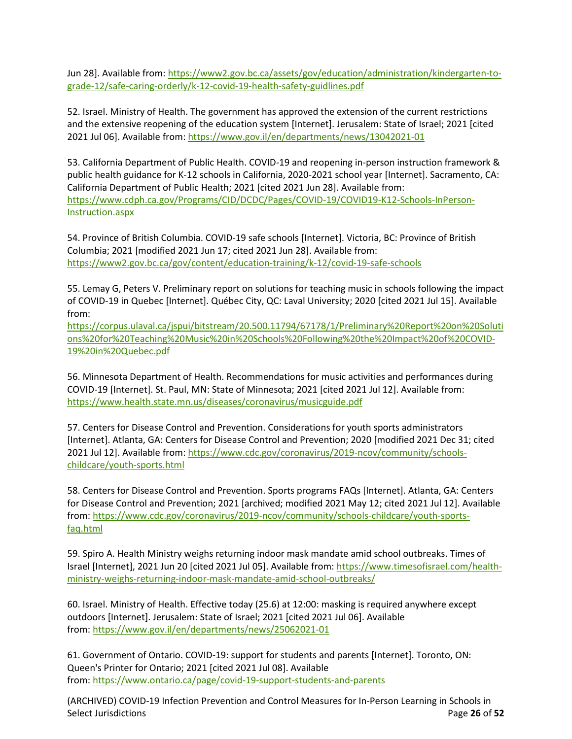Jun 28]. Available from[: https://www2.gov.bc.ca/assets/gov/education/administration/kindergarten-to](https://www2.gov.bc.ca/assets/gov/education/administration/kindergarten-to-grade-12/safe-caring-orderly/k-12-covid-19-health-safety-guidlines.pdf)[grade-12/safe-caring-orderly/k-12-covid-19-health-safety-guidlines.pdf](https://www2.gov.bc.ca/assets/gov/education/administration/kindergarten-to-grade-12/safe-caring-orderly/k-12-covid-19-health-safety-guidlines.pdf)

52. Israel. Ministry of Health. The government has approved the extension of the current restrictions and the extensive reopening of the education system [Internet]. Jerusalem: State of Israel; 2021 [cited 2021 Jul 06]. Available from:<https://www.gov.il/en/departments/news/13042021-01>

53. California Department of Public Health. COVID-19 and reopening in-person instruction framework & public health guidance for K-12 schools in California, 2020-2021 school year [Internet]. Sacramento, CA: California Department of Public Health; 2021 [cited 2021 Jun 28]. Available from: [https://www.cdph.ca.gov/Programs/CID/DCDC/Pages/COVID-19/COVID19-K12-Schools-InPerson-](https://www.cdph.ca.gov/Programs/CID/DCDC/Pages/COVID-19/COVID19-K12-Schools-InPerson-Instruction.aspx)[Instruction.aspx](https://www.cdph.ca.gov/Programs/CID/DCDC/Pages/COVID-19/COVID19-K12-Schools-InPerson-Instruction.aspx)

54. Province of British Columbia. COVID-19 safe schools [Internet]. Victoria, BC: Province of British Columbia; 2021 [modified 2021 Jun 17; cited 2021 Jun 28]. Available from: <https://www2.gov.bc.ca/gov/content/education-training/k-12/covid-19-safe-schools>

55. Lemay G, Peters V. Preliminary report on solutions for teaching music in schools following the impact of COVID-19 in Quebec [Internet]. Québec City, QC: Laval University; 2020 [cited 2021 Jul 15]. Available from:

[https://corpus.ulaval.ca/jspui/bitstream/20.500.11794/67178/1/Preliminary%20Report%20on%20Soluti](https://corpus.ulaval.ca/jspui/bitstream/20.500.11794/67178/1/Preliminary%20Report%20on%20Solutions%20for%20Teaching%20Music%20in%20Schools%20Following%20the%20Impact%20of%20COVID-19%20in%20Quebec.pdf) [ons%20for%20Teaching%20Music%20in%20Schools%20Following%20the%20Impact%20of%20COVID-](https://corpus.ulaval.ca/jspui/bitstream/20.500.11794/67178/1/Preliminary%20Report%20on%20Solutions%20for%20Teaching%20Music%20in%20Schools%20Following%20the%20Impact%20of%20COVID-19%20in%20Quebec.pdf)[19%20in%20Quebec.pdf](https://corpus.ulaval.ca/jspui/bitstream/20.500.11794/67178/1/Preliminary%20Report%20on%20Solutions%20for%20Teaching%20Music%20in%20Schools%20Following%20the%20Impact%20of%20COVID-19%20in%20Quebec.pdf)

56. Minnesota Department of Health. Recommendations for music activities and performances during COVID-19 [Internet]. St. Paul, MN: State of Minnesota; 2021 [cited 2021 Jul 12]. Available from: <https://www.health.state.mn.us/diseases/coronavirus/musicguide.pdf>

57. Centers for Disease Control and Prevention. Considerations for youth sports administrators [Internet]. Atlanta, GA: Centers for Disease Control and Prevention; 2020 [modified 2021 Dec 31; cited 2021 Jul 12]. Available from: [https://www.cdc.gov/coronavirus/2019-ncov/community/schools](https://www.cdc.gov/coronavirus/2019-ncov/community/schools-childcare/youth-sports.html)[childcare/youth-sports.html](https://www.cdc.gov/coronavirus/2019-ncov/community/schools-childcare/youth-sports.html)

58. Centers for Disease Control and Prevention. Sports programs FAQs [Internet]. Atlanta, GA: Centers for Disease Control and Prevention; 2021 [archived; modified 2021 May 12; cited 2021 Jul 12]. Available from: [https://www.cdc.gov/coronavirus/2019-ncov/community/schools-childcare/youth-sports](https://www.cdc.gov/coronavirus/2019-ncov/community/schools-childcare/youth-sports-faq.html)[faq.html](https://www.cdc.gov/coronavirus/2019-ncov/community/schools-childcare/youth-sports-faq.html)

59. Spiro A. Health Ministry weighs returning indoor mask mandate amid school outbreaks. Times of Israel [Internet], 2021 Jun 20 [cited 2021 Jul 05]. Available from: [https://www.timesofisrael.com/health](https://www.timesofisrael.com/health-ministry-weighs-returning-indoor-mask-mandate-amid-school-outbreaks/)[ministry-weighs-returning-indoor-mask-mandate-amid-school-outbreaks/](https://www.timesofisrael.com/health-ministry-weighs-returning-indoor-mask-mandate-amid-school-outbreaks/)

60. Israel. Ministry of Health. Effective today (25.6) at 12:00: masking is required anywhere except outdoors [Internet]. Jerusalem: State of Israel; 2021 [cited 2021 Jul 06]. Available from: <https://www.gov.il/en/departments/news/25062021-01>

61. Government of Ontario. COVID-19: support for students and parents [Internet]. Toronto, ON: Queen's Printer for Ontario; 2021 [cited 2021 Jul 08]. Available from: <https://www.ontario.ca/page/covid-19-support-students-and-parents>

(ARCHIVED) COVID-19 Infection Prevention and Control Measures for In-Person Learning in Schools in Select Jurisdictions **Page 26** of 52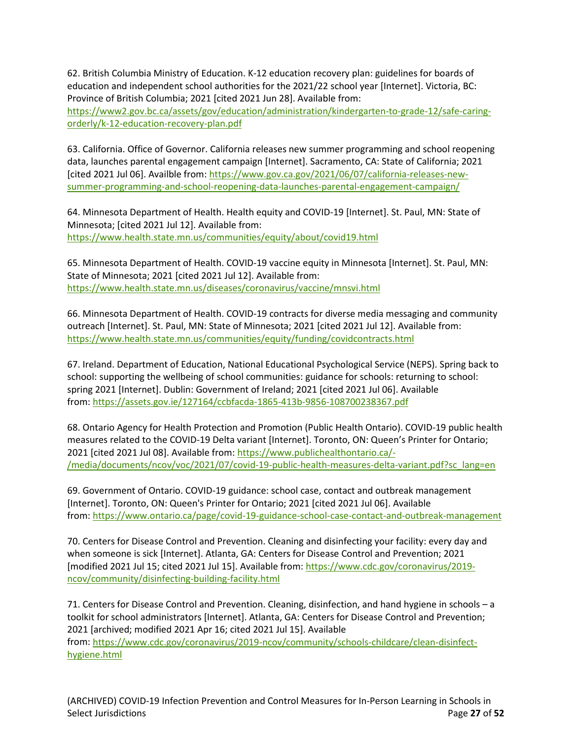62. British Columbia Ministry of Education. K-12 education recovery plan: guidelines for boards of education and independent school authorities for the 2021/22 school year [Internet]. Victoria, BC: Province of British Columbia; 2021 [cited 2021 Jun 28]. Available from:

[https://www2.gov.bc.ca/assets/gov/education/administration/kindergarten-to-grade-12/safe-caring](https://www2.gov.bc.ca/assets/gov/education/administration/kindergarten-to-grade-12/safe-caring-orderly/k-12-education-recovery-plan.pdf)[orderly/k-12-education-recovery-plan.pdf](https://www2.gov.bc.ca/assets/gov/education/administration/kindergarten-to-grade-12/safe-caring-orderly/k-12-education-recovery-plan.pdf)

63. California. Office of Governor. California releases new summer programming and school reopening data, launches parental engagement campaign [Internet]. Sacramento, CA: State of California; 2021 [cited 2021 Jul 06]. Availble from: [https://www.gov.ca.gov/2021/06/07/california-releases-new](https://www.gov.ca.gov/2021/06/07/california-releases-new-summer-programming-and-school-reopening-data-launches-parental-engagement-campaign/)[summer-programming-and-school-reopening-data-launches-parental-engagement-campaign/](https://www.gov.ca.gov/2021/06/07/california-releases-new-summer-programming-and-school-reopening-data-launches-parental-engagement-campaign/)

64. Minnesota Department of Health. Health equity and COVID-19 [Internet]. St. Paul, MN: State of Minnesota; [cited 2021 Jul 12]. Available from: <https://www.health.state.mn.us/communities/equity/about/covid19.html>

65. Minnesota Department of Health. COVID-19 vaccine equity in Minnesota [Internet]. St. Paul, MN: State of Minnesota; 2021 [cited 2021 Jul 12]. Available from: <https://www.health.state.mn.us/diseases/coronavirus/vaccine/mnsvi.html>

66. Minnesota Department of Health. COVID-19 contracts for diverse media messaging and community outreach [Internet]. St. Paul, MN: State of Minnesota; 2021 [cited 2021 Jul 12]. Available from: <https://www.health.state.mn.us/communities/equity/funding/covidcontracts.html>

67. Ireland. Department of Education, National Educational Psychological Service (NEPS). Spring back to school: supporting the wellbeing of school communities: guidance for schools: returning to school: spring 2021 [Internet]. Dublin: Government of Ireland; 2021 [cited 2021 Jul 06]. Available from: <https://assets.gov.ie/127164/ccbfacda-1865-413b-9856-108700238367.pdf>

68. Ontario Agency for Health Protection and Promotion (Public Health Ontario). COVID-19 public health measures related to the COVID-19 Delta variant [Internet]. Toronto, ON: Queen's Printer for Ontario; 2021 [cited 2021 Jul 08]. Available from: [https://www.publichealthontario.ca/-](https://www.publichealthontario.ca/-/media/documents/ncov/voc/2021/07/covid-19-public-health-measures-delta-variant.pdf?sc_lang=en) [/media/documents/ncov/voc/2021/07/covid-19-public-health-measures-delta-variant.pdf?sc\\_lang=en](https://www.publichealthontario.ca/-/media/documents/ncov/voc/2021/07/covid-19-public-health-measures-delta-variant.pdf?sc_lang=en)

69. Government of Ontario. COVID-19 guidance: school case, contact and outbreak management [Internet]. Toronto, ON: Queen's Printer for Ontario; 2021 [cited 2021 Jul 06]. Available from: <https://www.ontario.ca/page/covid-19-guidance-school-case-contact-and-outbreak-management>

70. Centers for Disease Control and Prevention. Cleaning and disinfecting your facility: every day and when someone is sick [Internet]. Atlanta, GA: Centers for Disease Control and Prevention; 2021 [modified 2021 Jul 15; cited 2021 Jul 15]. Available from: [https://www.cdc.gov/coronavirus/2019](https://www.cdc.gov/coronavirus/2019-ncov/community/disinfecting-building-facility.html) [ncov/community/disinfecting-building-facility.html](https://www.cdc.gov/coronavirus/2019-ncov/community/disinfecting-building-facility.html)

71. Centers for Disease Control and Prevention. Cleaning, disinfection, and hand hygiene in schools – a toolkit for school administrators [Internet]. Atlanta, GA: Centers for Disease Control and Prevention; 2021 [archived; modified 2021 Apr 16; cited 2021 Jul 15]. Available from: [https://www.cdc.gov/coronavirus/2019-ncov/community/schools-childcare/clean-disinfect](https://www.cdc.gov/coronavirus/2019-ncov/community/schools-childcare/clean-disinfect-hygiene.html)[hygiene.html](https://www.cdc.gov/coronavirus/2019-ncov/community/schools-childcare/clean-disinfect-hygiene.html)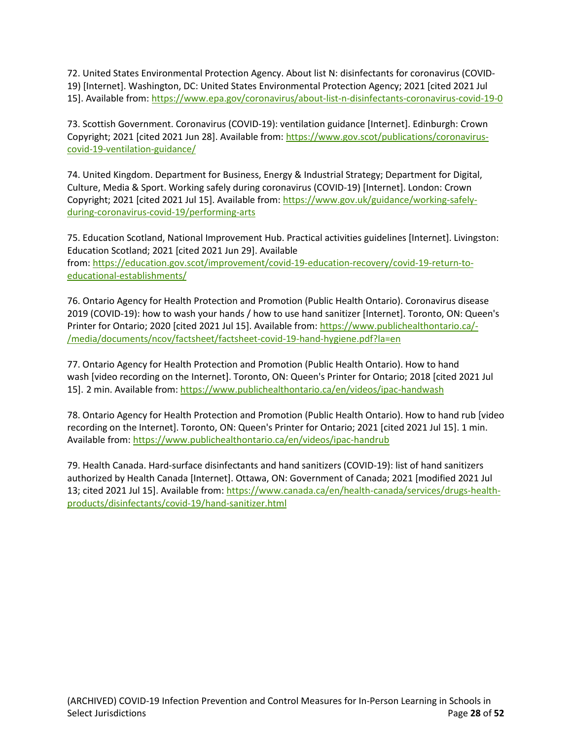72. United States Environmental Protection Agency. About list N: disinfectants for coronavirus (COVID-19) [Internet]. Washington, DC: United States Environmental Protection Agency; 2021 [cited 2021 Jul 15]. Available from: <https://www.epa.gov/coronavirus/about-list-n-disinfectants-coronavirus-covid-19-0>

73. Scottish Government. Coronavirus (COVID-19): ventilation guidance [Internet]. Edinburgh: Crown Copyright; 2021 [cited 2021 Jun 28]. Available from: [https://www.gov.scot/publications/coronavirus](https://www.gov.scot/publications/coronavirus-covid-19-ventilation-guidance/)[covid-19-ventilation-guidance/](https://www.gov.scot/publications/coronavirus-covid-19-ventilation-guidance/)

74. United Kingdom. Department for Business, Energy & Industrial Strategy; Department for Digital, Culture, Media & Sport. Working safely during coronavirus (COVID-19) [Internet]. London: Crown Copyright; 2021 [cited 2021 Jul 15]. Available from: [https://www.gov.uk/guidance/working-safely](https://www.gov.uk/guidance/working-safely-during-coronavirus-covid-19/performing-arts)[during-coronavirus-covid-19/performing-arts](https://www.gov.uk/guidance/working-safely-during-coronavirus-covid-19/performing-arts)

75. Education Scotland, National Improvement Hub. Practical activities guidelines [Internet]. Livingston: Education Scotland; 2021 [cited 2021 Jun 29]. Available from: [https://education.gov.scot/improvement/covid-19-education-recovery/covid-19-return-to](https://education.gov.scot/improvement/covid-19-education-recovery/covid-19-return-to-educational-establishments/)[educational-establishments/](https://education.gov.scot/improvement/covid-19-education-recovery/covid-19-return-to-educational-establishments/)

76. Ontario Agency for Health Protection and Promotion (Public Health Ontario). Coronavirus disease 2019 (COVID-19): how to wash your hands / how to use hand sanitizer [Internet]. Toronto, ON: Queen's Printer for Ontario; 2020 [cited 2021 Jul 15]. Available from: [https://www.publichealthontario.ca/-](https://www.publichealthontario.ca/-/media/documents/ncov/factsheet/factsheet-covid-19-hand-hygiene.pdf?la=en) [/media/documents/ncov/factsheet/factsheet-covid-19-hand-hygiene.pdf?la=en](https://www.publichealthontario.ca/-/media/documents/ncov/factsheet/factsheet-covid-19-hand-hygiene.pdf?la=en)

77. Ontario Agency for Health Protection and Promotion (Public Health Ontario). How to hand wash [video recording on the Internet]. Toronto, ON: Queen's Printer for Ontario; 2018 [cited 2021 Jul 15]. 2 min. Available from: <https://www.publichealthontario.ca/en/videos/ipac-handwash>

78. Ontario Agency for Health Protection and Promotion (Public Health Ontario). How to hand rub [video recording on the Internet]. Toronto, ON: Queen's Printer for Ontario; 2021 [cited 2021 Jul 15]. 1 min. Available from: <https://www.publichealthontario.ca/en/videos/ipac-handrub>

79. Health Canada. Hard-surface disinfectants and hand sanitizers (COVID-19): list of hand sanitizers authorized by Health Canada [Internet]. Ottawa, ON: Government of Canada; 2021 [modified 2021 Jul 13; cited 2021 Jul 15]. Available from: [https://www.canada.ca/en/health-canada/services/drugs-health](https://www.canada.ca/en/health-canada/services/drugs-health-products/disinfectants/covid-19/hand-sanitizer.html)[products/disinfectants/covid-19/hand-sanitizer.html](https://www.canada.ca/en/health-canada/services/drugs-health-products/disinfectants/covid-19/hand-sanitizer.html)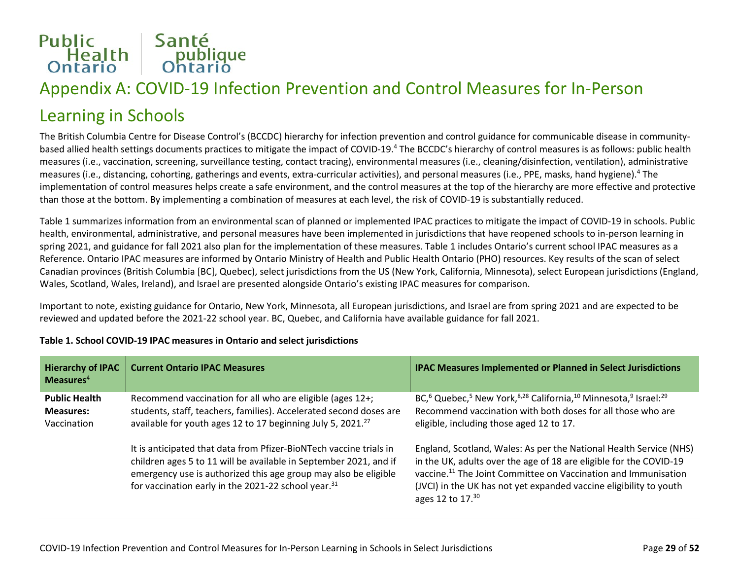# Public<br>
Health Bublique<br>
Ontario Ontario

## Appendix A: COVID-19 Infection Prevention and Control Measures for In-Person

### Learning in Schools

The British Columbia Centre for Disease Control's (BCCDC) hierarchy for infection prevention and control guidance for communicable disease in communitybased allied health settings documents practices to mitigate the impact of COVID-19.4 The BCCDC's hierarchy of control measures is as follows: public health measures (i.e., vaccination, screening, surveillance testing, contact tracing), environmental measures (i.e., cleaning/disinfection, ventilation), administrative measures (i.e., distancing, cohorting, gatherings and events, extra-curricular activities), and personal measures (i.e., PPE, masks, hand hygiene).4 The implementation of control measures helps create a safe environment, and the control measures at the top of the hierarchy are more effective and protective than those at the bottom. By implementing a combination of measures at each level, the risk of COVID-19 is substantially reduced.

Table 1 summarizes information from an environmental scan of planned or implemented IPAC practices to mitigate the impact of COVID-19 in schools. Public health, environmental, administrative, and personal measures have been implemented in jurisdictions that have reopened schools to in-person learning in spring 2021, and guidance for fall 2021 also plan for the implementation of these measures. Table 1 includes Ontario's current school IPAC measures as a Reference. Ontario IPAC measures are informed by Ontario Ministry of Health and Public Health Ontario (PHO) resources. Key results of the scan of select Canadian provinces (British Columbia [BC], Quebec), select jurisdictions from the US (New York, California, Minnesota), select European jurisdictions (England, Wales, Scotland, Wales, Ireland), and Israel are presented alongside Ontario's existing IPAC measures for comparison.

Important to note, existing guidance for Ontario, New York, Minnesota, all European jurisdictions, and Israel are from spring 2021 and are expected to be reviewed and updated before the 2021-22 school year. BC, Quebec, and California have available guidance for fall 2021.

| <b>Hierarchy of IPAC</b><br>Measures $4$                | <b>Current Ontario IPAC Measures</b>                                                                                                                                                                                                                                          | <b>IPAC Measures Implemented or Planned in Select Jurisdictions</b>                                                                                                                                                                                                                                              |
|---------------------------------------------------------|-------------------------------------------------------------------------------------------------------------------------------------------------------------------------------------------------------------------------------------------------------------------------------|------------------------------------------------------------------------------------------------------------------------------------------------------------------------------------------------------------------------------------------------------------------------------------------------------------------|
| <b>Public Health</b><br><b>Measures:</b><br>Vaccination | Recommend vaccination for all who are eligible (ages 12+;<br>students, staff, teachers, families). Accelerated second doses are<br>available for youth ages 12 to 17 beginning July 5, 2021. <sup>27</sup>                                                                    | BC, <sup>6</sup> Quebec, <sup>5</sup> New York, <sup>8,28</sup> California, <sup>10</sup> Minnesota, <sup>9</sup> Israel: <sup>29</sup><br>Recommend vaccination with both doses for all those who are<br>eligible, including those aged 12 to 17.                                                               |
|                                                         | It is anticipated that data from Pfizer-BioNTech vaccine trials in<br>children ages 5 to 11 will be available in September 2021, and if<br>emergency use is authorized this age group may also be eligible<br>for vaccination early in the 2021-22 school year. <sup>31</sup> | England, Scotland, Wales: As per the National Health Service (NHS)<br>in the UK, adults over the age of 18 are eligible for the COVID-19<br>vaccine. <sup>11</sup> The Joint Committee on Vaccination and Immunisation<br>(JVCI) in the UK has not yet expanded vaccine eligibility to youth<br>ages 12 to 17.30 |

#### **Table 1. School COVID-19 IPAC measures in Ontario and select jurisdictions**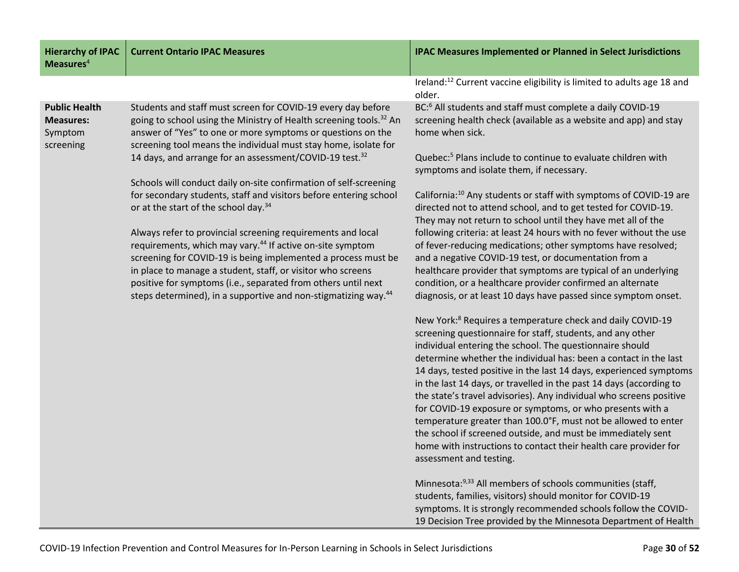| <b>Hierarchy of IPAC</b><br>Measures $4$                         | <b>Current Ontario IPAC Measures</b>                                                                                                                                                                                                                                                                                                                                                                                | <b>IPAC Measures Implemented or Planned in Select Jurisdictions</b>                                                                                                                                                                                                                                                                                                                                                                                                                                                                                                                                                                                                                                                                                                                    |
|------------------------------------------------------------------|---------------------------------------------------------------------------------------------------------------------------------------------------------------------------------------------------------------------------------------------------------------------------------------------------------------------------------------------------------------------------------------------------------------------|----------------------------------------------------------------------------------------------------------------------------------------------------------------------------------------------------------------------------------------------------------------------------------------------------------------------------------------------------------------------------------------------------------------------------------------------------------------------------------------------------------------------------------------------------------------------------------------------------------------------------------------------------------------------------------------------------------------------------------------------------------------------------------------|
|                                                                  |                                                                                                                                                                                                                                                                                                                                                                                                                     | Ireland: <sup>12</sup> Current vaccine eligibility is limited to adults age 18 and<br>older.                                                                                                                                                                                                                                                                                                                                                                                                                                                                                                                                                                                                                                                                                           |
| <b>Public Health</b><br><b>Measures:</b><br>Symptom<br>screening | Students and staff must screen for COVID-19 every day before<br>going to school using the Ministry of Health screening tools. <sup>32</sup> An<br>answer of "Yes" to one or more symptoms or questions on the<br>screening tool means the individual must stay home, isolate for                                                                                                                                    | BC: <sup>6</sup> All students and staff must complete a daily COVID-19<br>screening health check (available as a website and app) and stay<br>home when sick.                                                                                                                                                                                                                                                                                                                                                                                                                                                                                                                                                                                                                          |
|                                                                  | 14 days, and arrange for an assessment/COVID-19 test. <sup>32</sup>                                                                                                                                                                                                                                                                                                                                                 | Quebec: <sup>5</sup> Plans include to continue to evaluate children with<br>symptoms and isolate them, if necessary.                                                                                                                                                                                                                                                                                                                                                                                                                                                                                                                                                                                                                                                                   |
|                                                                  | Schools will conduct daily on-site confirmation of self-screening<br>for secondary students, staff and visitors before entering school<br>or at the start of the school day. <sup>34</sup>                                                                                                                                                                                                                          | California: <sup>10</sup> Any students or staff with symptoms of COVID-19 are<br>directed not to attend school, and to get tested for COVID-19.<br>They may not return to school until they have met all of the                                                                                                                                                                                                                                                                                                                                                                                                                                                                                                                                                                        |
|                                                                  | Always refer to provincial screening requirements and local<br>requirements, which may vary. <sup>44</sup> If active on-site symptom<br>screening for COVID-19 is being implemented a process must be<br>in place to manage a student, staff, or visitor who screens<br>positive for symptoms (i.e., separated from others until next<br>steps determined), in a supportive and non-stigmatizing way. <sup>44</sup> | following criteria: at least 24 hours with no fever without the use<br>of fever-reducing medications; other symptoms have resolved;<br>and a negative COVID-19 test, or documentation from a<br>healthcare provider that symptoms are typical of an underlying<br>condition, or a healthcare provider confirmed an alternate<br>diagnosis, or at least 10 days have passed since symptom onset.                                                                                                                                                                                                                                                                                                                                                                                        |
|                                                                  |                                                                                                                                                                                                                                                                                                                                                                                                                     | New York: <sup>8</sup> Requires a temperature check and daily COVID-19<br>screening questionnaire for staff, students, and any other<br>individual entering the school. The questionnaire should<br>determine whether the individual has: been a contact in the last<br>14 days, tested positive in the last 14 days, experienced symptoms<br>in the last 14 days, or travelled in the past 14 days (according to<br>the state's travel advisories). Any individual who screens positive<br>for COVID-19 exposure or symptoms, or who presents with a<br>temperature greater than 100.0°F, must not be allowed to enter<br>the school if screened outside, and must be immediately sent<br>home with instructions to contact their health care provider for<br>assessment and testing. |
|                                                                  |                                                                                                                                                                                                                                                                                                                                                                                                                     | Minnesota: <sup>9,33</sup> All members of schools communities (staff,<br>students, families, visitors) should monitor for COVID-19<br>symptoms. It is strongly recommended schools follow the COVID-<br>19 Decision Tree provided by the Minnesota Department of Health                                                                                                                                                                                                                                                                                                                                                                                                                                                                                                                |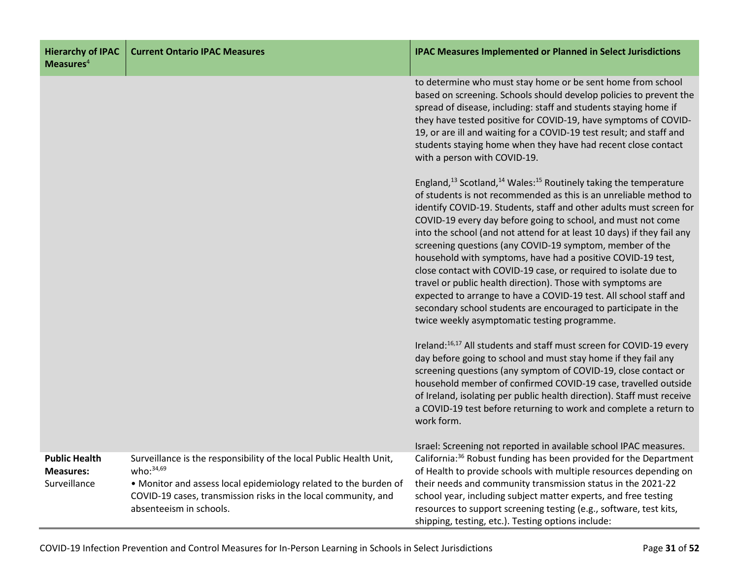| <b>Hierarchy of IPAC</b><br>Measures $4$                 | <b>Current Ontario IPAC Measures</b>                                                                                                                                                                                                                 | <b>IPAC Measures Implemented or Planned in Select Jurisdictions</b>                                                                                                                                                                                                                                                                                                                                                                                                                                                                                                                                                                                                                                                                                                                                                                            |
|----------------------------------------------------------|------------------------------------------------------------------------------------------------------------------------------------------------------------------------------------------------------------------------------------------------------|------------------------------------------------------------------------------------------------------------------------------------------------------------------------------------------------------------------------------------------------------------------------------------------------------------------------------------------------------------------------------------------------------------------------------------------------------------------------------------------------------------------------------------------------------------------------------------------------------------------------------------------------------------------------------------------------------------------------------------------------------------------------------------------------------------------------------------------------|
|                                                          |                                                                                                                                                                                                                                                      | to determine who must stay home or be sent home from school<br>based on screening. Schools should develop policies to prevent the<br>spread of disease, including: staff and students staying home if<br>they have tested positive for COVID-19, have symptoms of COVID-<br>19, or are ill and waiting for a COVID-19 test result; and staff and<br>students staying home when they have had recent close contact<br>with a person with COVID-19.                                                                                                                                                                                                                                                                                                                                                                                              |
|                                                          |                                                                                                                                                                                                                                                      | England, <sup>13</sup> Scotland, <sup>14</sup> Wales: <sup>15</sup> Routinely taking the temperature<br>of students is not recommended as this is an unreliable method to<br>identify COVID-19. Students, staff and other adults must screen for<br>COVID-19 every day before going to school, and must not come<br>into the school (and not attend for at least 10 days) if they fail any<br>screening questions (any COVID-19 symptom, member of the<br>household with symptoms, have had a positive COVID-19 test,<br>close contact with COVID-19 case, or required to isolate due to<br>travel or public health direction). Those with symptoms are<br>expected to arrange to have a COVID-19 test. All school staff and<br>secondary school students are encouraged to participate in the<br>twice weekly asymptomatic testing programme. |
|                                                          |                                                                                                                                                                                                                                                      | Ireland: <sup>16,17</sup> All students and staff must screen for COVID-19 every<br>day before going to school and must stay home if they fail any<br>screening questions (any symptom of COVID-19, close contact or<br>household member of confirmed COVID-19 case, travelled outside<br>of Ireland, isolating per public health direction). Staff must receive<br>a COVID-19 test before returning to work and complete a return to<br>work form.                                                                                                                                                                                                                                                                                                                                                                                             |
| <b>Public Health</b><br><b>Measures:</b><br>Surveillance | Surveillance is the responsibility of the local Public Health Unit,<br>who: $34,69$<br>• Monitor and assess local epidemiology related to the burden of<br>COVID-19 cases, transmission risks in the local community, and<br>absenteeism in schools. | Israel: Screening not reported in available school IPAC measures.<br>California: <sup>36</sup> Robust funding has been provided for the Department<br>of Health to provide schools with multiple resources depending on<br>their needs and community transmission status in the 2021-22<br>school year, including subject matter experts, and free testing<br>resources to support screening testing (e.g., software, test kits,<br>shipping, testing, etc.). Testing options include:                                                                                                                                                                                                                                                                                                                                                         |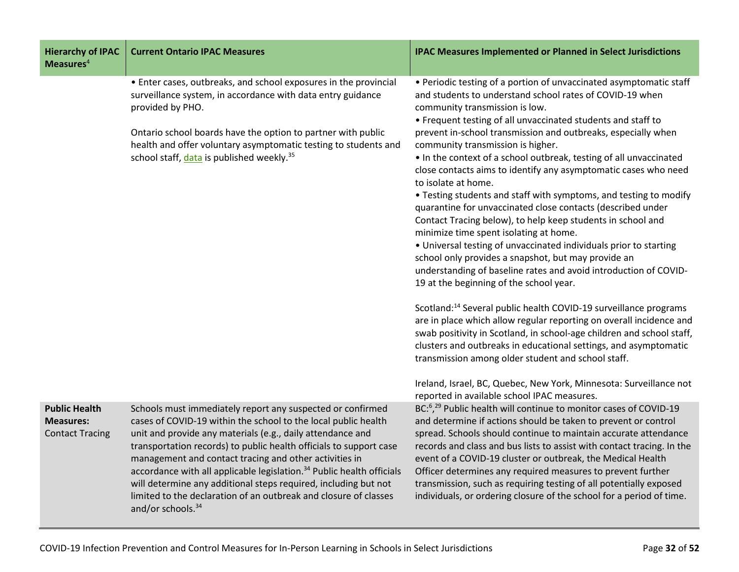| <b>Hierarchy of IPAC</b><br>Measures $4$                           | <b>Current Ontario IPAC Measures</b>                                                                                                                                                                                                                                                                                                                                                                                                                                                                                                                                                    | <b>IPAC Measures Implemented or Planned in Select Jurisdictions</b>                                                                                                                                                                                                                                                                                                                                                                                                                                                                                                                                                                                                                                                                                                                                                                                                                                                                                                                                                                                                                                                                                                                                                                                                                                                                                      |
|--------------------------------------------------------------------|-----------------------------------------------------------------------------------------------------------------------------------------------------------------------------------------------------------------------------------------------------------------------------------------------------------------------------------------------------------------------------------------------------------------------------------------------------------------------------------------------------------------------------------------------------------------------------------------|----------------------------------------------------------------------------------------------------------------------------------------------------------------------------------------------------------------------------------------------------------------------------------------------------------------------------------------------------------------------------------------------------------------------------------------------------------------------------------------------------------------------------------------------------------------------------------------------------------------------------------------------------------------------------------------------------------------------------------------------------------------------------------------------------------------------------------------------------------------------------------------------------------------------------------------------------------------------------------------------------------------------------------------------------------------------------------------------------------------------------------------------------------------------------------------------------------------------------------------------------------------------------------------------------------------------------------------------------------|
|                                                                    | • Enter cases, outbreaks, and school exposures in the provincial<br>surveillance system, in accordance with data entry guidance<br>provided by PHO.<br>Ontario school boards have the option to partner with public<br>health and offer voluntary asymptomatic testing to students and<br>school staff, data is published weekly. <sup>35</sup>                                                                                                                                                                                                                                         | • Periodic testing of a portion of unvaccinated asymptomatic staff<br>and students to understand school rates of COVID-19 when<br>community transmission is low.<br>• Frequent testing of all unvaccinated students and staff to<br>prevent in-school transmission and outbreaks, especially when<br>community transmission is higher.<br>. In the context of a school outbreak, testing of all unvaccinated<br>close contacts aims to identify any asymptomatic cases who need<br>to isolate at home.<br>• Testing students and staff with symptoms, and testing to modify<br>quarantine for unvaccinated close contacts (described under<br>Contact Tracing below), to help keep students in school and<br>minimize time spent isolating at home.<br>• Universal testing of unvaccinated individuals prior to starting<br>school only provides a snapshot, but may provide an<br>understanding of baseline rates and avoid introduction of COVID-<br>19 at the beginning of the school year.<br>Scotland: <sup>14</sup> Several public health COVID-19 surveillance programs<br>are in place which allow regular reporting on overall incidence and<br>swab positivity in Scotland, in school-age children and school staff,<br>clusters and outbreaks in educational settings, and asymptomatic<br>transmission among older student and school staff. |
|                                                                    |                                                                                                                                                                                                                                                                                                                                                                                                                                                                                                                                                                                         | Ireland, Israel, BC, Quebec, New York, Minnesota: Surveillance not<br>reported in available school IPAC measures.                                                                                                                                                                                                                                                                                                                                                                                                                                                                                                                                                                                                                                                                                                                                                                                                                                                                                                                                                                                                                                                                                                                                                                                                                                        |
| <b>Public Health</b><br><b>Measures:</b><br><b>Contact Tracing</b> | Schools must immediately report any suspected or confirmed<br>cases of COVID-19 within the school to the local public health<br>unit and provide any materials (e.g., daily attendance and<br>transportation records) to public health officials to support case<br>management and contact tracing and other activities in<br>accordance with all applicable legislation. <sup>34</sup> Public health officials<br>will determine any additional steps required, including but not<br>limited to the declaration of an outbreak and closure of classes<br>and/or schools. <sup>34</sup> | BC: <sup>6</sup> , <sup>29</sup> Public health will continue to monitor cases of COVID-19<br>and determine if actions should be taken to prevent or control<br>spread. Schools should continue to maintain accurate attendance<br>records and class and bus lists to assist with contact tracing. In the<br>event of a COVID-19 cluster or outbreak, the Medical Health<br>Officer determines any required measures to prevent further<br>transmission, such as requiring testing of all potentially exposed<br>individuals, or ordering closure of the school for a period of time.                                                                                                                                                                                                                                                                                                                                                                                                                                                                                                                                                                                                                                                                                                                                                                     |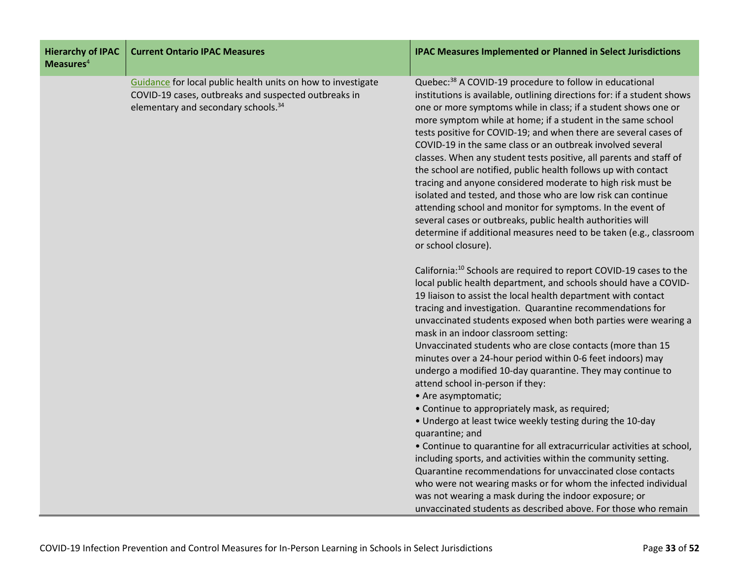| <b>Hierarchy of IPAC</b><br>Measures $4$ | <b>Current Ontario IPAC Measures</b>                                                                                                                                    | <b>IPAC Measures Implemented or Planned in Select Jurisdictions</b>                                                                                                                                                                                                                                                                                                                                                                                                                                                                                                                                                                                                                                                                                                                                                                                                                                                                                                                                                                                                                                                                                                                      |
|------------------------------------------|-------------------------------------------------------------------------------------------------------------------------------------------------------------------------|------------------------------------------------------------------------------------------------------------------------------------------------------------------------------------------------------------------------------------------------------------------------------------------------------------------------------------------------------------------------------------------------------------------------------------------------------------------------------------------------------------------------------------------------------------------------------------------------------------------------------------------------------------------------------------------------------------------------------------------------------------------------------------------------------------------------------------------------------------------------------------------------------------------------------------------------------------------------------------------------------------------------------------------------------------------------------------------------------------------------------------------------------------------------------------------|
|                                          | Guidance for local public health units on how to investigate<br>COVID-19 cases, outbreaks and suspected outbreaks in<br>elementary and secondary schools. <sup>34</sup> | Quebec: <sup>38</sup> A COVID-19 procedure to follow in educational<br>institutions is available, outlining directions for: if a student shows<br>one or more symptoms while in class; if a student shows one or<br>more symptom while at home; if a student in the same school<br>tests positive for COVID-19; and when there are several cases of<br>COVID-19 in the same class or an outbreak involved several<br>classes. When any student tests positive, all parents and staff of<br>the school are notified, public health follows up with contact<br>tracing and anyone considered moderate to high risk must be<br>isolated and tested, and those who are low risk can continue<br>attending school and monitor for symptoms. In the event of<br>several cases or outbreaks, public health authorities will<br>determine if additional measures need to be taken (e.g., classroom<br>or school closure).                                                                                                                                                                                                                                                                        |
|                                          |                                                                                                                                                                         | California: <sup>10</sup> Schools are required to report COVID-19 cases to the<br>local public health department, and schools should have a COVID-<br>19 liaison to assist the local health department with contact<br>tracing and investigation. Quarantine recommendations for<br>unvaccinated students exposed when both parties were wearing a<br>mask in an indoor classroom setting:<br>Unvaccinated students who are close contacts (more than 15<br>minutes over a 24-hour period within 0-6 feet indoors) may<br>undergo a modified 10-day quarantine. They may continue to<br>attend school in-person if they:<br>• Are asymptomatic;<br>• Continue to appropriately mask, as required;<br>• Undergo at least twice weekly testing during the 10-day<br>quarantine; and<br>• Continue to quarantine for all extracurricular activities at school,<br>including sports, and activities within the community setting.<br>Quarantine recommendations for unvaccinated close contacts<br>who were not wearing masks or for whom the infected individual<br>was not wearing a mask during the indoor exposure; or<br>unvaccinated students as described above. For those who remain |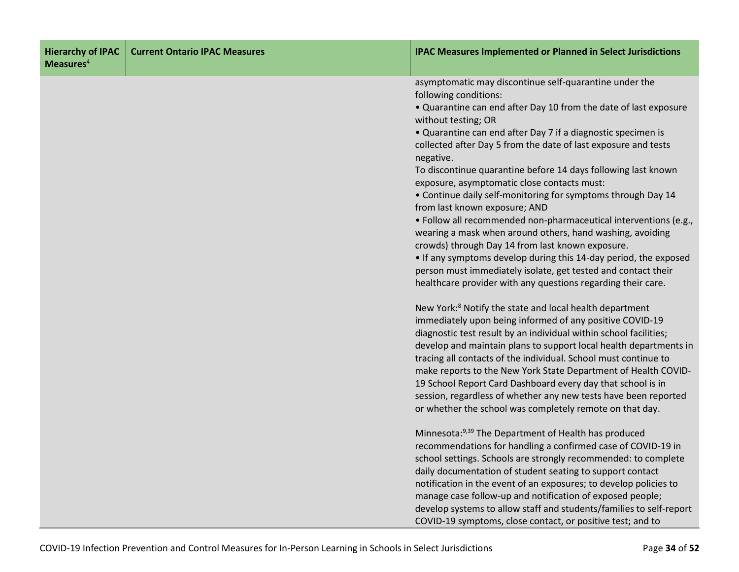| <b>Hierarchy of IPAC</b><br>Measures $4$ | <b>Current Ontario IPAC Measures</b> | <b>IPAC Measures Implemented or Planned in Select Jurisdictions</b>                     |
|------------------------------------------|--------------------------------------|-----------------------------------------------------------------------------------------|
|                                          |                                      | asymptomatic may discontinue self-quarantine under the                                  |
|                                          |                                      | following conditions:                                                                   |
|                                          |                                      | . Quarantine can end after Day 10 from the date of last exposure<br>without testing; OR |
|                                          |                                      | • Quarantine can end after Day 7 if a diagnostic specimen is                            |
|                                          |                                      | collected after Day 5 from the date of last exposure and tests<br>negative.             |
|                                          |                                      | To discontinue quarantine before 14 days following last known                           |
|                                          |                                      | exposure, asymptomatic close contacts must:                                             |
|                                          |                                      | • Continue daily self-monitoring for symptoms through Day 14                            |
|                                          |                                      | from last known exposure; AND                                                           |
|                                          |                                      | · Follow all recommended non-pharmaceutical interventions (e.g.,                        |
|                                          |                                      | wearing a mask when around others, hand washing, avoiding                               |
|                                          |                                      | crowds) through Day 14 from last known exposure.                                        |
|                                          |                                      | • If any symptoms develop during this 14-day period, the exposed                        |
|                                          |                                      | person must immediately isolate, get tested and contact their                           |
|                                          |                                      | healthcare provider with any questions regarding their care.                            |
|                                          |                                      | New York: <sup>8</sup> Notify the state and local health department                     |
|                                          |                                      | immediately upon being informed of any positive COVID-19                                |
|                                          |                                      | diagnostic test result by an individual within school facilities;                       |
|                                          |                                      | develop and maintain plans to support local health departments in                       |
|                                          |                                      | tracing all contacts of the individual. School must continue to                         |
|                                          |                                      | make reports to the New York State Department of Health COVID-                          |
|                                          |                                      | 19 School Report Card Dashboard every day that school is in                             |
|                                          |                                      | session, regardless of whether any new tests have been reported                         |
|                                          |                                      | or whether the school was completely remote on that day.                                |
|                                          |                                      | Minnesota: 9,39 The Department of Health has produced                                   |
|                                          |                                      | recommendations for handling a confirmed case of COVID-19 in                            |
|                                          |                                      | school settings. Schools are strongly recommended: to complete                          |
|                                          |                                      | daily documentation of student seating to support contact                               |
|                                          |                                      | notification in the event of an exposures; to develop policies to                       |
|                                          |                                      | manage case follow-up and notification of exposed people;                               |
|                                          |                                      | develop systems to allow staff and students/families to self-report                     |
|                                          |                                      | COVID-19 symptoms, close contact, or positive test; and to                              |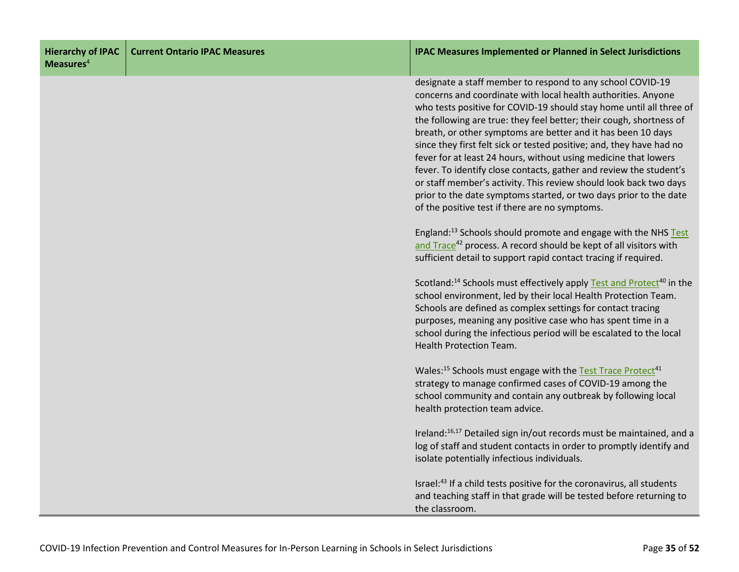| <b>Hierarchy of IPAC</b><br>Measures <sup>4</sup> | <b>Current Ontario IPAC Measures</b> | <b>IPAC Measures Implemented or Planned in Select Jurisdictions</b>                                                                                                                                                                                                                                                                                                                                                                                                                                                                                                                                                                                                                                                                                    |
|---------------------------------------------------|--------------------------------------|--------------------------------------------------------------------------------------------------------------------------------------------------------------------------------------------------------------------------------------------------------------------------------------------------------------------------------------------------------------------------------------------------------------------------------------------------------------------------------------------------------------------------------------------------------------------------------------------------------------------------------------------------------------------------------------------------------------------------------------------------------|
|                                                   |                                      | designate a staff member to respond to any school COVID-19<br>concerns and coordinate with local health authorities. Anyone<br>who tests positive for COVID-19 should stay home until all three of<br>the following are true: they feel better; their cough, shortness of<br>breath, or other symptoms are better and it has been 10 days<br>since they first felt sick or tested positive; and, they have had no<br>fever for at least 24 hours, without using medicine that lowers<br>fever. To identify close contacts, gather and review the student's<br>or staff member's activity. This review should look back two days<br>prior to the date symptoms started, or two days prior to the date<br>of the positive test if there are no symptoms. |
|                                                   |                                      | England: <sup>13</sup> Schools should promote and engage with the NHS Test<br>and Trace <sup>42</sup> process. A record should be kept of all visitors with<br>sufficient detail to support rapid contact tracing if required.                                                                                                                                                                                                                                                                                                                                                                                                                                                                                                                         |
|                                                   |                                      | Scotland: <sup>14</sup> Schools must effectively apply Test and Protect <sup>40</sup> in the<br>school environment, led by their local Health Protection Team.<br>Schools are defined as complex settings for contact tracing<br>purposes, meaning any positive case who has spent time in a<br>school during the infectious period will be escalated to the local<br><b>Health Protection Team.</b>                                                                                                                                                                                                                                                                                                                                                   |
|                                                   |                                      | Wales: <sup>15</sup> Schools must engage with the Test Trace Protect <sup>41</sup><br>strategy to manage confirmed cases of COVID-19 among the<br>school community and contain any outbreak by following local<br>health protection team advice.                                                                                                                                                                                                                                                                                                                                                                                                                                                                                                       |
|                                                   |                                      | Ireland: <sup>16,17</sup> Detailed sign in/out records must be maintained, and a<br>log of staff and student contacts in order to promptly identify and<br>isolate potentially infectious individuals.                                                                                                                                                                                                                                                                                                                                                                                                                                                                                                                                                 |
|                                                   |                                      | Israel: <sup>43</sup> If a child tests positive for the coronavirus, all students<br>and teaching staff in that grade will be tested before returning to<br>the classroom.                                                                                                                                                                                                                                                                                                                                                                                                                                                                                                                                                                             |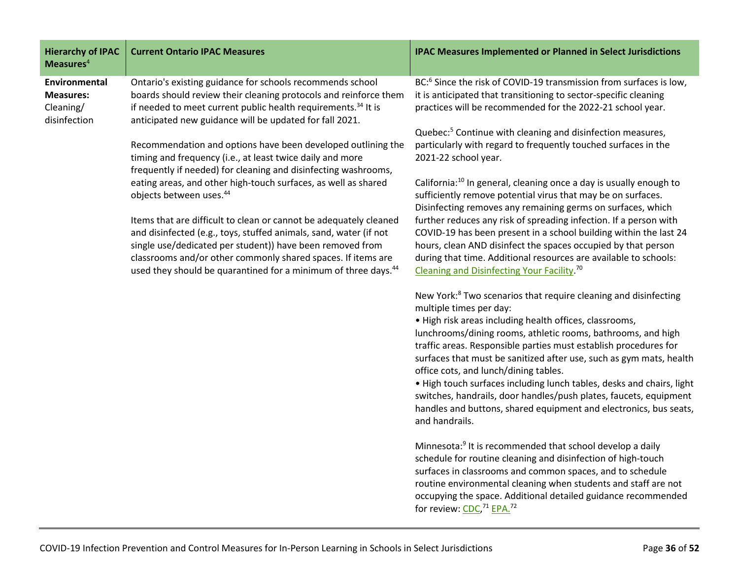| <b>Hierarchy of IPAC</b><br>Measures $4$                       | <b>Current Ontario IPAC Measures</b>                                                                                                                                                                                                                                                                                                              | <b>IPAC Measures Implemented or Planned in Select Jurisdictions</b>                                                                                                                                                                                                                                                                                                                  |
|----------------------------------------------------------------|---------------------------------------------------------------------------------------------------------------------------------------------------------------------------------------------------------------------------------------------------------------------------------------------------------------------------------------------------|--------------------------------------------------------------------------------------------------------------------------------------------------------------------------------------------------------------------------------------------------------------------------------------------------------------------------------------------------------------------------------------|
| Environmental<br><b>Measures:</b><br>Cleaning/<br>disinfection | Ontario's existing guidance for schools recommends school<br>boards should review their cleaning protocols and reinforce them<br>if needed to meet current public health requirements. <sup>34</sup> It is<br>anticipated new guidance will be updated for fall 2021.                                                                             | BC: <sup>6</sup> Since the risk of COVID-19 transmission from surfaces is low,<br>it is anticipated that transitioning to sector-specific cleaning<br>practices will be recommended for the 2022-21 school year.                                                                                                                                                                     |
|                                                                | Recommendation and options have been developed outlining the<br>timing and frequency (i.e., at least twice daily and more<br>frequently if needed) for cleaning and disinfecting washrooms,                                                                                                                                                       | Quebec: <sup>5</sup> Continue with cleaning and disinfection measures,<br>particularly with regard to frequently touched surfaces in the<br>2021-22 school year.                                                                                                                                                                                                                     |
|                                                                | eating areas, and other high-touch surfaces, as well as shared<br>objects between uses. <sup>44</sup>                                                                                                                                                                                                                                             | California: <sup>10</sup> In general, cleaning once a day is usually enough to<br>sufficiently remove potential virus that may be on surfaces.<br>Disinfecting removes any remaining germs on surfaces, which                                                                                                                                                                        |
|                                                                | Items that are difficult to clean or cannot be adequately cleaned<br>and disinfected (e.g., toys, stuffed animals, sand, water (if not<br>single use/dedicated per student)) have been removed from<br>classrooms and/or other commonly shared spaces. If items are<br>used they should be quarantined for a minimum of three days. <sup>44</sup> | further reduces any risk of spreading infection. If a person with<br>COVID-19 has been present in a school building within the last 24<br>hours, clean AND disinfect the spaces occupied by that person<br>during that time. Additional resources are available to schools:<br>Cleaning and Disinfecting Your Facility. <sup>70</sup>                                                |
|                                                                |                                                                                                                                                                                                                                                                                                                                                   | New York: <sup>8</sup> Two scenarios that require cleaning and disinfecting<br>multiple times per day:                                                                                                                                                                                                                                                                               |
|                                                                |                                                                                                                                                                                                                                                                                                                                                   | • High risk areas including health offices, classrooms,<br>lunchrooms/dining rooms, athletic rooms, bathrooms, and high<br>traffic areas. Responsible parties must establish procedures for<br>surfaces that must be sanitized after use, such as gym mats, health<br>office cots, and lunch/dining tables.<br>• High touch surfaces including lunch tables, desks and chairs, light |

 $\mathfrak h$  touch surfaces including lunch tables, desks and chairs, light switches, handrails, door handles/push plates, faucets, equipment handles and buttons, shared equipment and electronics, bus seats, and handrails.

Minnesota:9 It is recommended that school develop a daily schedule for routine cleaning and disinfection of high-touch surfaces in classrooms and common spaces, and to schedule routine environmental cleaning when students and staff are not occupying the space. Additional detailed guidance recommended for review: [CDC,](https://www.cdc.gov/coronavirus/2019-ncov/community/schools-childcare/clean-disinfect-hygiene.html) <sup>71</sup> [EPA.](https://www.epa.gov/coronavirus/about-list-n-disinfectants-coronavirus-covid-19-0) 72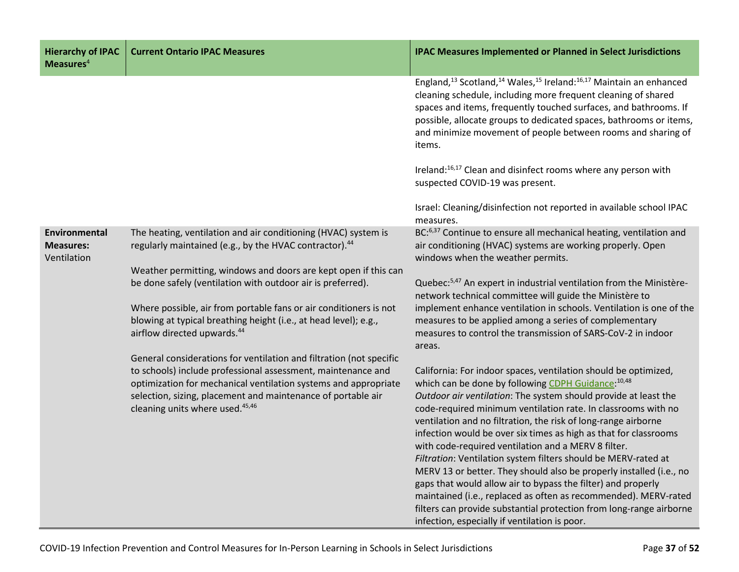| <b>Hierarchy of IPAC</b><br>Measures <sup>4</sup> | <b>Current Ontario IPAC Measures</b>                                                                                                                                             | <b>IPAC Measures Implemented or Planned in Select Jurisdictions</b>                                                                                                                                                                                                                                                                                                                                                                                                                                                                    |
|---------------------------------------------------|----------------------------------------------------------------------------------------------------------------------------------------------------------------------------------|----------------------------------------------------------------------------------------------------------------------------------------------------------------------------------------------------------------------------------------------------------------------------------------------------------------------------------------------------------------------------------------------------------------------------------------------------------------------------------------------------------------------------------------|
|                                                   |                                                                                                                                                                                  | England, <sup>13</sup> Scotland, <sup>14</sup> Wales, <sup>15</sup> Ireland: <sup>16,17</sup> Maintain an enhanced<br>cleaning schedule, including more frequent cleaning of shared<br>spaces and items, frequently touched surfaces, and bathrooms. If<br>possible, allocate groups to dedicated spaces, bathrooms or items,<br>and minimize movement of people between rooms and sharing of<br>items.                                                                                                                                |
|                                                   |                                                                                                                                                                                  | Ireland: <sup>16,17</sup> Clean and disinfect rooms where any person with<br>suspected COVID-19 was present.                                                                                                                                                                                                                                                                                                                                                                                                                           |
|                                                   |                                                                                                                                                                                  | Israel: Cleaning/disinfection not reported in available school IPAC<br>measures.                                                                                                                                                                                                                                                                                                                                                                                                                                                       |
| Environmental<br><b>Measures:</b><br>Ventilation  | The heating, ventilation and air conditioning (HVAC) system is<br>regularly maintained (e.g., by the HVAC contractor). <sup>44</sup>                                             | BC: <sup>6,37</sup> Continue to ensure all mechanical heating, ventilation and<br>air conditioning (HVAC) systems are working properly. Open<br>windows when the weather permits.                                                                                                                                                                                                                                                                                                                                                      |
|                                                   | Weather permitting, windows and doors are kept open if this can<br>be done safely (ventilation with outdoor air is preferred).                                                   | Quebec: <sup>5,47</sup> An expert in industrial ventilation from the Ministère-<br>network technical committee will guide the Ministère to                                                                                                                                                                                                                                                                                                                                                                                             |
|                                                   | Where possible, air from portable fans or air conditioners is not<br>blowing at typical breathing height (i.e., at head level); e.g.,<br>airflow directed upwards. <sup>44</sup> | implement enhance ventilation in schools. Ventilation is one of the<br>measures to be applied among a series of complementary<br>measures to control the transmission of SARS-CoV-2 in indoor<br>areas.                                                                                                                                                                                                                                                                                                                                |
|                                                   | General considerations for ventilation and filtration (not specific                                                                                                              |                                                                                                                                                                                                                                                                                                                                                                                                                                                                                                                                        |
|                                                   | to schools) include professional assessment, maintenance and<br>optimization for mechanical ventilation systems and appropriate                                                  | California: For indoor spaces, ventilation should be optimized,<br>which can be done by following CDPH Guidance: 10,48                                                                                                                                                                                                                                                                                                                                                                                                                 |
|                                                   | selection, sizing, placement and maintenance of portable air<br>cleaning units where used. <sup>45,46</sup>                                                                      | Outdoor air ventilation: The system should provide at least the<br>code-required minimum ventilation rate. In classrooms with no<br>ventilation and no filtration, the risk of long-range airborne<br>infection would be over six times as high as that for classrooms<br>with code-required ventilation and a MERV 8 filter.<br>Filtration: Ventilation system filters should be MERV-rated at<br>MERV 13 or better. They should also be properly installed (i.e., no<br>gaps that would allow air to bypass the filter) and properly |
|                                                   |                                                                                                                                                                                  | maintained (i.e., replaced as often as recommended). MERV-rated<br>filters can provide substantial protection from long-range airborne<br>infection, especially if ventilation is poor.                                                                                                                                                                                                                                                                                                                                                |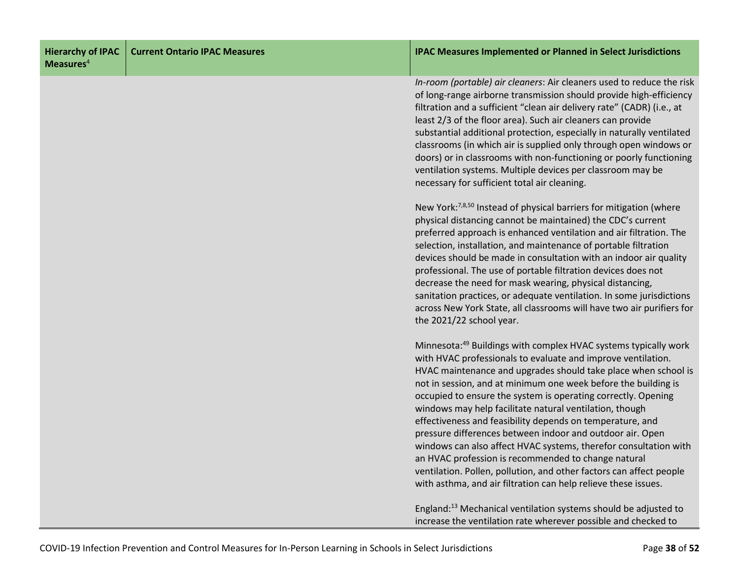| <b>Hierarchy of IPAC</b><br>Measures <sup>4</sup> | <b>Current Ontario IPAC Measures</b> | <b>IPAC Measures Implemented or Planned in Select Jurisdictions</b>                                                                                                                                                                                                                                                                                                                                                                                                                                                                                                                                                                                                                                                                                                                                       |
|---------------------------------------------------|--------------------------------------|-----------------------------------------------------------------------------------------------------------------------------------------------------------------------------------------------------------------------------------------------------------------------------------------------------------------------------------------------------------------------------------------------------------------------------------------------------------------------------------------------------------------------------------------------------------------------------------------------------------------------------------------------------------------------------------------------------------------------------------------------------------------------------------------------------------|
|                                                   |                                      | In-room (portable) air cleaners: Air cleaners used to reduce the risk<br>of long-range airborne transmission should provide high-efficiency<br>filtration and a sufficient "clean air delivery rate" (CADR) (i.e., at<br>least 2/3 of the floor area). Such air cleaners can provide<br>substantial additional protection, especially in naturally ventilated<br>classrooms (in which air is supplied only through open windows or<br>doors) or in classrooms with non-functioning or poorly functioning<br>ventilation systems. Multiple devices per classroom may be<br>necessary for sufficient total air cleaning.                                                                                                                                                                                    |
|                                                   |                                      | New York: <sup>7,8,50</sup> Instead of physical barriers for mitigation (where<br>physical distancing cannot be maintained) the CDC's current<br>preferred approach is enhanced ventilation and air filtration. The<br>selection, installation, and maintenance of portable filtration<br>devices should be made in consultation with an indoor air quality<br>professional. The use of portable filtration devices does not<br>decrease the need for mask wearing, physical distancing,<br>sanitation practices, or adequate ventilation. In some jurisdictions<br>across New York State, all classrooms will have two air purifiers for<br>the 2021/22 school year.                                                                                                                                     |
|                                                   |                                      | Minnesota: <sup>49</sup> Buildings with complex HVAC systems typically work<br>with HVAC professionals to evaluate and improve ventilation.<br>HVAC maintenance and upgrades should take place when school is<br>not in session, and at minimum one week before the building is<br>occupied to ensure the system is operating correctly. Opening<br>windows may help facilitate natural ventilation, though<br>effectiveness and feasibility depends on temperature, and<br>pressure differences between indoor and outdoor air. Open<br>windows can also affect HVAC systems, therefor consultation with<br>an HVAC profession is recommended to change natural<br>ventilation. Pollen, pollution, and other factors can affect people<br>with asthma, and air filtration can help relieve these issues. |
|                                                   |                                      | England: <sup>13</sup> Mechanical ventilation systems should be adjusted to<br>increase the ventilation rate wherever possible and checked to                                                                                                                                                                                                                                                                                                                                                                                                                                                                                                                                                                                                                                                             |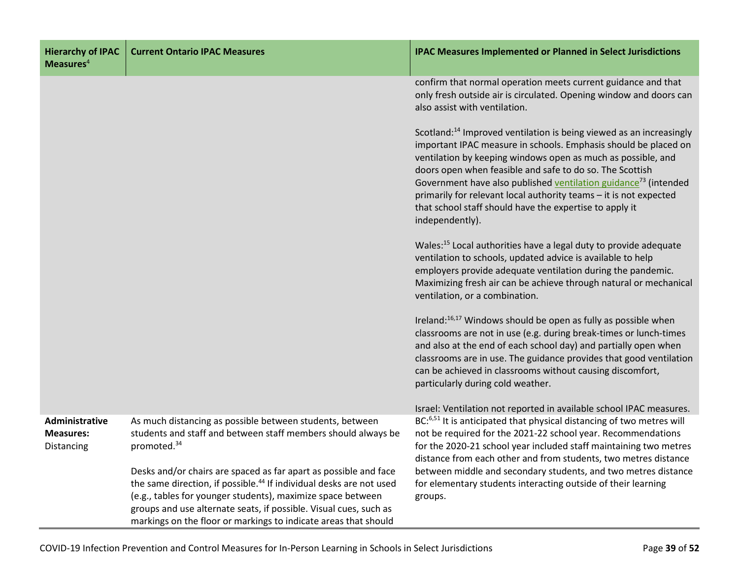| <b>Hierarchy of IPAC</b><br>Measures $4$         | <b>Current Ontario IPAC Measures</b>                                                                                                                                                                               | <b>IPAC Measures Implemented or Planned in Select Jurisdictions</b>                                                                                                                                                                                                                                                                                                                                                                                                                                              |
|--------------------------------------------------|--------------------------------------------------------------------------------------------------------------------------------------------------------------------------------------------------------------------|------------------------------------------------------------------------------------------------------------------------------------------------------------------------------------------------------------------------------------------------------------------------------------------------------------------------------------------------------------------------------------------------------------------------------------------------------------------------------------------------------------------|
|                                                  |                                                                                                                                                                                                                    | confirm that normal operation meets current guidance and that<br>only fresh outside air is circulated. Opening window and doors can<br>also assist with ventilation.                                                                                                                                                                                                                                                                                                                                             |
|                                                  |                                                                                                                                                                                                                    | Scotland: <sup>14</sup> Improved ventilation is being viewed as an increasingly<br>important IPAC measure in schools. Emphasis should be placed on<br>ventilation by keeping windows open as much as possible, and<br>doors open when feasible and safe to do so. The Scottish<br>Government have also published ventilation guidance <sup>73</sup> (intended<br>primarily for relevant local authority teams - it is not expected<br>that school staff should have the expertise to apply it<br>independently). |
|                                                  |                                                                                                                                                                                                                    | Wales: <sup>15</sup> Local authorities have a legal duty to provide adequate<br>ventilation to schools, updated advice is available to help<br>employers provide adequate ventilation during the pandemic.<br>Maximizing fresh air can be achieve through natural or mechanical<br>ventilation, or a combination.                                                                                                                                                                                                |
|                                                  |                                                                                                                                                                                                                    | Ireland: <sup>16,17</sup> Windows should be open as fully as possible when<br>classrooms are not in use (e.g. during break-times or lunch-times<br>and also at the end of each school day) and partially open when<br>classrooms are in use. The guidance provides that good ventilation<br>can be achieved in classrooms without causing discomfort,<br>particularly during cold weather.                                                                                                                       |
|                                                  |                                                                                                                                                                                                                    | Israel: Ventilation not reported in available school IPAC measures.                                                                                                                                                                                                                                                                                                                                                                                                                                              |
| Administrative<br><b>Measures:</b><br>Distancing | As much distancing as possible between students, between<br>students and staff and between staff members should always be<br>promoted. <sup>34</sup>                                                               | BC: <sup>6,51</sup> It is anticipated that physical distancing of two metres will<br>not be required for the 2021-22 school year. Recommendations<br>for the 2020-21 school year included staff maintaining two metres<br>distance from each other and from students, two metres distance                                                                                                                                                                                                                        |
|                                                  | Desks and/or chairs are spaced as far apart as possible and face<br>the same direction, if possible. <sup>44</sup> If individual desks are not used<br>(e.g., tables for younger students), maximize space between | between middle and secondary students, and two metres distance<br>for elementary students interacting outside of their learning<br>groups.                                                                                                                                                                                                                                                                                                                                                                       |
|                                                  | groups and use alternate seats, if possible. Visual cues, such as<br>markings on the floor or markings to indicate areas that should                                                                               |                                                                                                                                                                                                                                                                                                                                                                                                                                                                                                                  |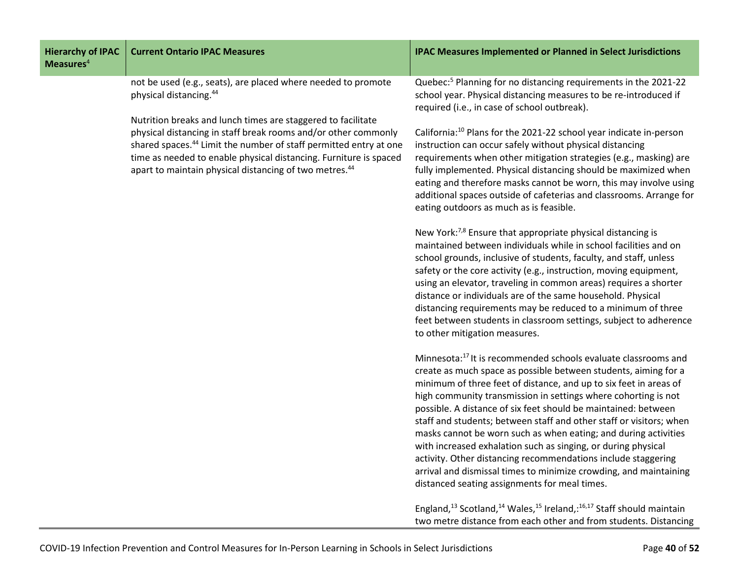| <b>Hierarchy of IPAC</b><br>Measures <sup>4</sup> | <b>Current Ontario IPAC Measures</b>                                                                                                                                                                                                                                                                                                                       | <b>IPAC Measures Implemented or Planned in Select Jurisdictions</b>                                                                                                                                                                                                                                                                                                                                                                                                                                                                                                                                                                                                                                                                                      |
|---------------------------------------------------|------------------------------------------------------------------------------------------------------------------------------------------------------------------------------------------------------------------------------------------------------------------------------------------------------------------------------------------------------------|----------------------------------------------------------------------------------------------------------------------------------------------------------------------------------------------------------------------------------------------------------------------------------------------------------------------------------------------------------------------------------------------------------------------------------------------------------------------------------------------------------------------------------------------------------------------------------------------------------------------------------------------------------------------------------------------------------------------------------------------------------|
|                                                   | not be used (e.g., seats), are placed where needed to promote<br>physical distancing. <sup>44</sup>                                                                                                                                                                                                                                                        | Quebec: <sup>5</sup> Planning for no distancing requirements in the 2021-22<br>school year. Physical distancing measures to be re-introduced if<br>required (i.e., in case of school outbreak).                                                                                                                                                                                                                                                                                                                                                                                                                                                                                                                                                          |
|                                                   | Nutrition breaks and lunch times are staggered to facilitate<br>physical distancing in staff break rooms and/or other commonly<br>shared spaces. <sup>44</sup> Limit the number of staff permitted entry at one<br>time as needed to enable physical distancing. Furniture is spaced<br>apart to maintain physical distancing of two metres. <sup>44</sup> | California: <sup>10</sup> Plans for the 2021-22 school year indicate in-person<br>instruction can occur safely without physical distancing<br>requirements when other mitigation strategies (e.g., masking) are<br>fully implemented. Physical distancing should be maximized when<br>eating and therefore masks cannot be worn, this may involve using<br>additional spaces outside of cafeterias and classrooms. Arrange for<br>eating outdoors as much as is feasible.                                                                                                                                                                                                                                                                                |
|                                                   |                                                                                                                                                                                                                                                                                                                                                            | New York: <sup>7,8</sup> Ensure that appropriate physical distancing is<br>maintained between individuals while in school facilities and on<br>school grounds, inclusive of students, faculty, and staff, unless<br>safety or the core activity (e.g., instruction, moving equipment,<br>using an elevator, traveling in common areas) requires a shorter<br>distance or individuals are of the same household. Physical<br>distancing requirements may be reduced to a minimum of three<br>feet between students in classroom settings, subject to adherence<br>to other mitigation measures.                                                                                                                                                           |
|                                                   |                                                                                                                                                                                                                                                                                                                                                            | Minnesota: <sup>17</sup> It is recommended schools evaluate classrooms and<br>create as much space as possible between students, aiming for a<br>minimum of three feet of distance, and up to six feet in areas of<br>high community transmission in settings where cohorting is not<br>possible. A distance of six feet should be maintained: between<br>staff and students; between staff and other staff or visitors; when<br>masks cannot be worn such as when eating; and during activities<br>with increased exhalation such as singing, or during physical<br>activity. Other distancing recommendations include staggering<br>arrival and dismissal times to minimize crowding, and maintaining<br>distanced seating assignments for meal times. |
|                                                   |                                                                                                                                                                                                                                                                                                                                                            | England, <sup>13</sup> Scotland, <sup>14</sup> Wales, <sup>15</sup> Ireland,: <sup>16,17</sup> Staff should maintain<br>two metre distance from each other and from students. Distancing                                                                                                                                                                                                                                                                                                                                                                                                                                                                                                                                                                 |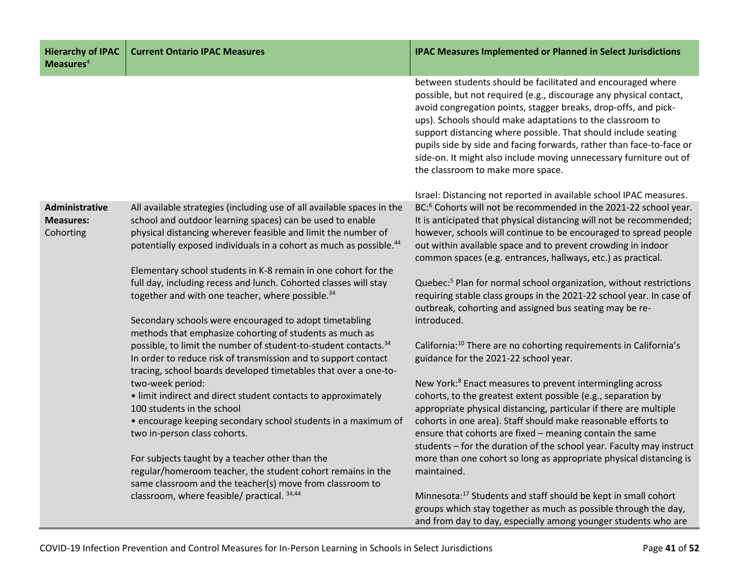| <b>Hierarchy of IPAC</b><br>Measures $4$        | <b>Current Ontario IPAC Measures</b>                                                                                                                                                                                                                                                   | <b>IPAC Measures Implemented or Planned in Select Jurisdictions</b>                                                                                                                                                                                                                                                                                                                                                                                                                                                    |
|-------------------------------------------------|----------------------------------------------------------------------------------------------------------------------------------------------------------------------------------------------------------------------------------------------------------------------------------------|------------------------------------------------------------------------------------------------------------------------------------------------------------------------------------------------------------------------------------------------------------------------------------------------------------------------------------------------------------------------------------------------------------------------------------------------------------------------------------------------------------------------|
|                                                 |                                                                                                                                                                                                                                                                                        | between students should be facilitated and encouraged where<br>possible, but not required (e.g., discourage any physical contact,<br>avoid congregation points, stagger breaks, drop-offs, and pick-<br>ups). Schools should make adaptations to the classroom to<br>support distancing where possible. That should include seating<br>pupils side by side and facing forwards, rather than face-to-face or<br>side-on. It might also include moving unnecessary furniture out of<br>the classroom to make more space. |
|                                                 |                                                                                                                                                                                                                                                                                        | Israel: Distancing not reported in available school IPAC measures.                                                                                                                                                                                                                                                                                                                                                                                                                                                     |
| Administrative<br><b>Measures:</b><br>Cohorting | All available strategies (including use of all available spaces in the<br>school and outdoor learning spaces) can be used to enable<br>physical distancing wherever feasible and limit the number of<br>potentially exposed individuals in a cohort as much as possible. <sup>44</sup> | BC: <sup>6</sup> Cohorts will not be recommended in the 2021-22 school year.<br>It is anticipated that physical distancing will not be recommended;<br>however, schools will continue to be encouraged to spread people<br>out within available space and to prevent crowding in indoor<br>common spaces (e.g. entrances, hallways, etc.) as practical.                                                                                                                                                                |
|                                                 | Elementary school students in K-8 remain in one cohort for the                                                                                                                                                                                                                         |                                                                                                                                                                                                                                                                                                                                                                                                                                                                                                                        |
|                                                 | full day, including recess and lunch. Cohorted classes will stay<br>together and with one teacher, where possible. <sup>34</sup>                                                                                                                                                       | Quebec: <sup>5</sup> Plan for normal school organization, without restrictions<br>requiring stable class groups in the 2021-22 school year. In case of<br>outbreak, cohorting and assigned bus seating may be re-                                                                                                                                                                                                                                                                                                      |
|                                                 | Secondary schools were encouraged to adopt timetabling<br>methods that emphasize cohorting of students as much as                                                                                                                                                                      | introduced.                                                                                                                                                                                                                                                                                                                                                                                                                                                                                                            |
|                                                 | possible, to limit the number of student-to-student contacts. <sup>34</sup><br>In order to reduce risk of transmission and to support contact<br>tracing, school boards developed timetables that over a one-to-                                                                       | California: <sup>10</sup> There are no cohorting requirements in California's<br>guidance for the 2021-22 school year.                                                                                                                                                                                                                                                                                                                                                                                                 |
|                                                 | two-week period:                                                                                                                                                                                                                                                                       | New York: <sup>8</sup> Enact measures to prevent intermingling across                                                                                                                                                                                                                                                                                                                                                                                                                                                  |
|                                                 | • limit indirect and direct student contacts to approximately<br>100 students in the school                                                                                                                                                                                            | cohorts, to the greatest extent possible (e.g., separation by<br>appropriate physical distancing, particular if there are multiple                                                                                                                                                                                                                                                                                                                                                                                     |
|                                                 | • encourage keeping secondary school students in a maximum of<br>two in-person class cohorts.                                                                                                                                                                                          | cohorts in one area). Staff should make reasonable efforts to<br>ensure that cohorts are fixed - meaning contain the same<br>students - for the duration of the school year. Faculty may instruct                                                                                                                                                                                                                                                                                                                      |
|                                                 | For subjects taught by a teacher other than the<br>regular/homeroom teacher, the student cohort remains in the<br>same classroom and the teacher(s) move from classroom to                                                                                                             | more than one cohort so long as appropriate physical distancing is<br>maintained.                                                                                                                                                                                                                                                                                                                                                                                                                                      |
|                                                 | classroom, where feasible/ practical. 34,44                                                                                                                                                                                                                                            | Minnesota: <sup>17</sup> Students and staff should be kept in small cohort<br>groups which stay together as much as possible through the day,<br>and from day to day, especially among younger students who are                                                                                                                                                                                                                                                                                                        |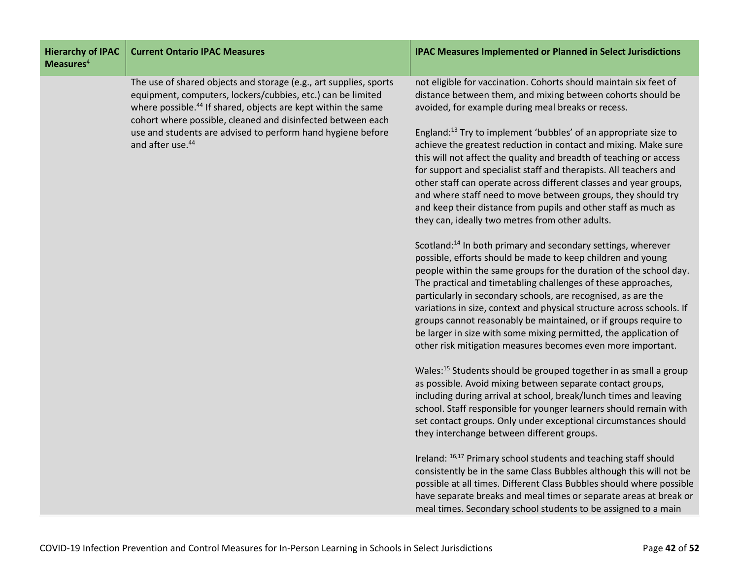| <b>Hierarchy of IPAC</b><br>Measures <sup>4</sup> | <b>Current Ontario IPAC Measures</b>                                                                                                                                                                                                                                                                                                                                        | <b>IPAC Measures Implemented or Planned in Select Jurisdictions</b>                                                                                                                                                                                                                                                                                                                                                                                                                                                                                                                                                                                                                                                                                                                                                       |
|---------------------------------------------------|-----------------------------------------------------------------------------------------------------------------------------------------------------------------------------------------------------------------------------------------------------------------------------------------------------------------------------------------------------------------------------|---------------------------------------------------------------------------------------------------------------------------------------------------------------------------------------------------------------------------------------------------------------------------------------------------------------------------------------------------------------------------------------------------------------------------------------------------------------------------------------------------------------------------------------------------------------------------------------------------------------------------------------------------------------------------------------------------------------------------------------------------------------------------------------------------------------------------|
|                                                   | The use of shared objects and storage (e.g., art supplies, sports<br>equipment, computers, lockers/cubbies, etc.) can be limited<br>where possible. <sup>44</sup> If shared, objects are kept within the same<br>cohort where possible, cleaned and disinfected between each<br>use and students are advised to perform hand hygiene before<br>and after use. <sup>44</sup> | not eligible for vaccination. Cohorts should maintain six feet of<br>distance between them, and mixing between cohorts should be<br>avoided, for example during meal breaks or recess.<br>England: <sup>13</sup> Try to implement 'bubbles' of an appropriate size to<br>achieve the greatest reduction in contact and mixing. Make sure<br>this will not affect the quality and breadth of teaching or access<br>for support and specialist staff and therapists. All teachers and<br>other staff can operate across different classes and year groups,<br>and where staff need to move between groups, they should try<br>and keep their distance from pupils and other staff as much as<br>they can, ideally two metres from other adults.<br>Scotland: <sup>14</sup> In both primary and secondary settings, wherever |
|                                                   |                                                                                                                                                                                                                                                                                                                                                                             | possible, efforts should be made to keep children and young<br>people within the same groups for the duration of the school day.<br>The practical and timetabling challenges of these approaches,<br>particularly in secondary schools, are recognised, as are the<br>variations in size, context and physical structure across schools. If<br>groups cannot reasonably be maintained, or if groups require to<br>be larger in size with some mixing permitted, the application of<br>other risk mitigation measures becomes even more important.                                                                                                                                                                                                                                                                         |
|                                                   |                                                                                                                                                                                                                                                                                                                                                                             | Wales: <sup>15</sup> Students should be grouped together in as small a group<br>as possible. Avoid mixing between separate contact groups,<br>including during arrival at school, break/lunch times and leaving<br>school. Staff responsible for younger learners should remain with<br>set contact groups. Only under exceptional circumstances should<br>they interchange between different groups.                                                                                                                                                                                                                                                                                                                                                                                                                     |
|                                                   |                                                                                                                                                                                                                                                                                                                                                                             | Ireland: 16,17 Primary school students and teaching staff should<br>consistently be in the same Class Bubbles although this will not be<br>possible at all times. Different Class Bubbles should where possible<br>have separate breaks and meal times or separate areas at break or<br>meal times. Secondary school students to be assigned to a main                                                                                                                                                                                                                                                                                                                                                                                                                                                                    |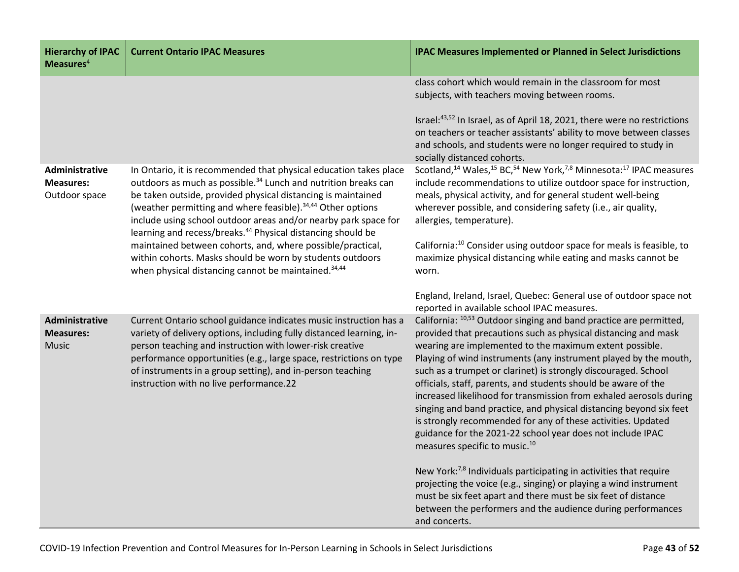| <b>Hierarchy of IPAC</b><br>Measures $4$            | <b>Current Ontario IPAC Measures</b>                                                                                                                                                                                                                                                                                                                                                                                                                                                                                                                                                                                                   | <b>IPAC Measures Implemented or Planned in Select Jurisdictions</b>                                                                                                                                                                                                                                                                                                                                                                                                                                                                                                                                                                                                                                                            |
|-----------------------------------------------------|----------------------------------------------------------------------------------------------------------------------------------------------------------------------------------------------------------------------------------------------------------------------------------------------------------------------------------------------------------------------------------------------------------------------------------------------------------------------------------------------------------------------------------------------------------------------------------------------------------------------------------------|--------------------------------------------------------------------------------------------------------------------------------------------------------------------------------------------------------------------------------------------------------------------------------------------------------------------------------------------------------------------------------------------------------------------------------------------------------------------------------------------------------------------------------------------------------------------------------------------------------------------------------------------------------------------------------------------------------------------------------|
|                                                     |                                                                                                                                                                                                                                                                                                                                                                                                                                                                                                                                                                                                                                        | class cohort which would remain in the classroom for most<br>subjects, with teachers moving between rooms.<br>Israel: <sup>43,52</sup> In Israel, as of April 18, 2021, there were no restrictions<br>on teachers or teacher assistants' ability to move between classes<br>and schools, and students were no longer required to study in<br>socially distanced cohorts.                                                                                                                                                                                                                                                                                                                                                       |
| Administrative<br><b>Measures:</b><br>Outdoor space | In Ontario, it is recommended that physical education takes place<br>outdoors as much as possible. <sup>34</sup> Lunch and nutrition breaks can<br>be taken outside, provided physical distancing is maintained<br>(weather permitting and where feasible). <sup>34,44</sup> Other options<br>include using school outdoor areas and/or nearby park space for<br>learning and recess/breaks. <sup>44</sup> Physical distancing should be<br>maintained between cohorts, and, where possible/practical,<br>within cohorts. Masks should be worn by students outdoors<br>when physical distancing cannot be maintained. <sup>34,44</sup> | Scotland, <sup>14</sup> Wales, <sup>15</sup> BC, <sup>54</sup> New York, <sup>7,8</sup> Minnesota: <sup>17</sup> IPAC measures<br>include recommendations to utilize outdoor space for instruction,<br>meals, physical activity, and for general student well-being<br>wherever possible, and considering safety (i.e., air quality,<br>allergies, temperature).<br>California: <sup>10</sup> Consider using outdoor space for meals is feasible, to<br>maximize physical distancing while eating and masks cannot be<br>worn.                                                                                                                                                                                                 |
|                                                     |                                                                                                                                                                                                                                                                                                                                                                                                                                                                                                                                                                                                                                        | England, Ireland, Israel, Quebec: General use of outdoor space not<br>reported in available school IPAC measures.                                                                                                                                                                                                                                                                                                                                                                                                                                                                                                                                                                                                              |
| Administrative<br><b>Measures:</b><br><b>Music</b>  | Current Ontario school guidance indicates music instruction has a<br>variety of delivery options, including fully distanced learning, in-<br>person teaching and instruction with lower-risk creative<br>performance opportunities (e.g., large space, restrictions on type<br>of instruments in a group setting), and in-person teaching<br>instruction with no live performance.22                                                                                                                                                                                                                                                   | California: 10,53 Outdoor singing and band practice are permitted,<br>provided that precautions such as physical distancing and mask<br>wearing are implemented to the maximum extent possible.<br>Playing of wind instruments (any instrument played by the mouth,<br>such as a trumpet or clarinet) is strongly discouraged. School<br>officials, staff, parents, and students should be aware of the<br>increased likelihood for transmission from exhaled aerosols during<br>singing and band practice, and physical distancing beyond six feet<br>is strongly recommended for any of these activities. Updated<br>guidance for the 2021-22 school year does not include IPAC<br>measures specific to music. <sup>10</sup> |
|                                                     |                                                                                                                                                                                                                                                                                                                                                                                                                                                                                                                                                                                                                                        | New York: <sup>7,8</sup> Individuals participating in activities that require<br>projecting the voice (e.g., singing) or playing a wind instrument<br>must be six feet apart and there must be six feet of distance<br>between the performers and the audience during performances<br>and concerts.                                                                                                                                                                                                                                                                                                                                                                                                                            |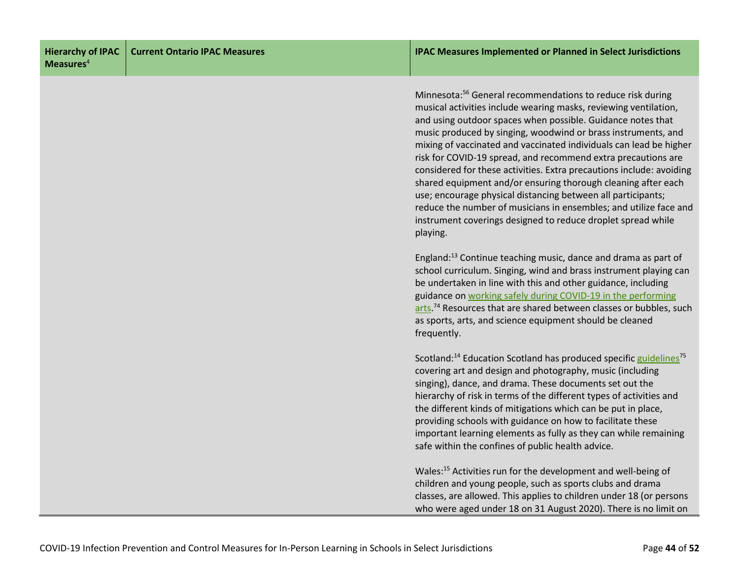Minnesota:56 General recommendations to reduce risk during musical activities include wearing masks, reviewing ventilation, and using outdoor spaces when possible. Guidance notes that music produced by singing, woodwind or brass instruments, and mixing of vaccinated and vaccinated individuals can lead be higher risk for COVID-19 spread, and recommend extra precautions are considered for these activities. Extra precautions include: avoiding shared equipment and/or ensuring thorough cleaning after each use; encourage physical distancing between all participants; reduce the number of musicians in ensembles; and utilize face and instrument coverings designed to reduce droplet spread while playing.

England:13 Continue teaching music, dance and drama as part of school curriculum. Singing, wind and brass instrument playing can be undertaken in line with this and other guidance, including guidance on [working safely during COVID-19 in the performing](https://www.gov.uk/guidance/working-safely-during-coronavirus-covid-19/performing-arts)  [arts.](https://www.gov.uk/guidance/working-safely-during-coronavirus-covid-19/performing-arts)<sup>74</sup> Resources that are shared between classes or bubbles, such as sports, arts, and science equipment should be cleaned frequently.

Scotland:<sup>14</sup> Education Scotland has produced specific guidelines<sup>75</sup> covering art and design and photography, music (including singing), dance, and drama. These documents set out the hierarchy of risk in terms of the different types of activities and the different kinds of mitigations which can be put in place, providing schools with guidance on how to facilitate these important learning elements as fully as they can while remaining safe within the confines of public health advice.

Wales:15 Activities run for the development and well-being of children and young people, such as sports clubs and drama classes, are allowed. This applies to children under 18 (or persons who were aged under 18 on 31 August 2020). There is no limit on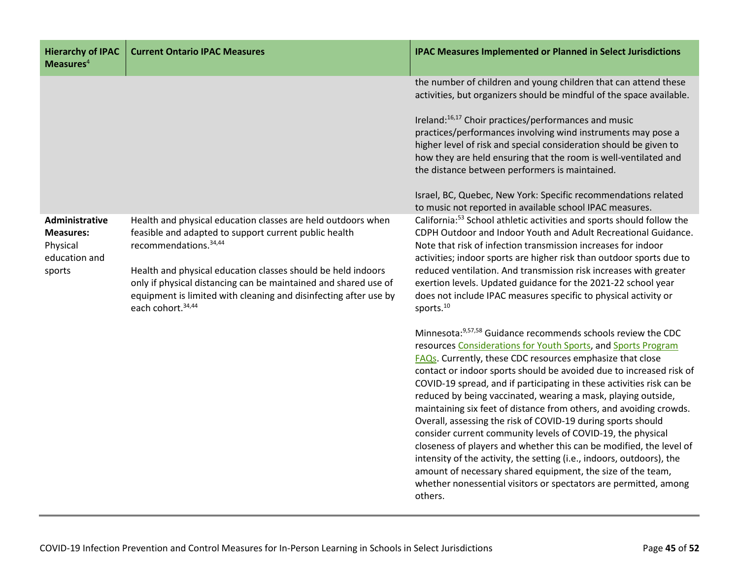| <b>Hierarchy of IPAC</b><br>Measures $4$                                  | <b>Current Ontario IPAC Measures</b>                                                                                                                                                                                                                                                                                                                                                    | <b>IPAC Measures Implemented or Planned in Select Jurisdictions</b>                                                                                                                                                                                                                                                                                                                                                                                                                                                                                                                                                                                                                                                                                                                                                                                                                                                    |
|---------------------------------------------------------------------------|-----------------------------------------------------------------------------------------------------------------------------------------------------------------------------------------------------------------------------------------------------------------------------------------------------------------------------------------------------------------------------------------|------------------------------------------------------------------------------------------------------------------------------------------------------------------------------------------------------------------------------------------------------------------------------------------------------------------------------------------------------------------------------------------------------------------------------------------------------------------------------------------------------------------------------------------------------------------------------------------------------------------------------------------------------------------------------------------------------------------------------------------------------------------------------------------------------------------------------------------------------------------------------------------------------------------------|
|                                                                           |                                                                                                                                                                                                                                                                                                                                                                                         | the number of children and young children that can attend these<br>activities, but organizers should be mindful of the space available.<br>Ireland: <sup>16,17</sup> Choir practices/performances and music<br>practices/performances involving wind instruments may pose a<br>higher level of risk and special consideration should be given to<br>how they are held ensuring that the room is well-ventilated and<br>the distance between performers is maintained.<br>Israel, BC, Quebec, New York: Specific recommendations related<br>to music not reported in available school IPAC measures.                                                                                                                                                                                                                                                                                                                    |
| Administrative<br><b>Measures:</b><br>Physical<br>education and<br>sports | Health and physical education classes are held outdoors when<br>feasible and adapted to support current public health<br>recommendations. 34,44<br>Health and physical education classes should be held indoors<br>only if physical distancing can be maintained and shared use of<br>equipment is limited with cleaning and disinfecting after use by<br>each cohort. <sup>34,44</sup> | California: <sup>53</sup> School athletic activities and sports should follow the<br>CDPH Outdoor and Indoor Youth and Adult Recreational Guidance.<br>Note that risk of infection transmission increases for indoor<br>activities; indoor sports are higher risk than outdoor sports due to<br>reduced ventilation. And transmission risk increases with greater<br>exertion levels. Updated guidance for the 2021-22 school year<br>does not include IPAC measures specific to physical activity or<br>sports. <sup>10</sup>                                                                                                                                                                                                                                                                                                                                                                                         |
|                                                                           |                                                                                                                                                                                                                                                                                                                                                                                         | Minnesota: 9,57,58 Guidance recommends schools review the CDC<br>resources Considerations for Youth Sports, and Sports Program<br><b>FAQs.</b> Currently, these CDC resources emphasize that close<br>contact or indoor sports should be avoided due to increased risk of<br>COVID-19 spread, and if participating in these activities risk can be<br>reduced by being vaccinated, wearing a mask, playing outside,<br>maintaining six feet of distance from others, and avoiding crowds.<br>Overall, assessing the risk of COVID-19 during sports should<br>consider current community levels of COVID-19, the physical<br>closeness of players and whether this can be modified, the level of<br>intensity of the activity, the setting (i.e., indoors, outdoors), the<br>amount of necessary shared equipment, the size of the team,<br>whether nonessential visitors or spectators are permitted, among<br>others. |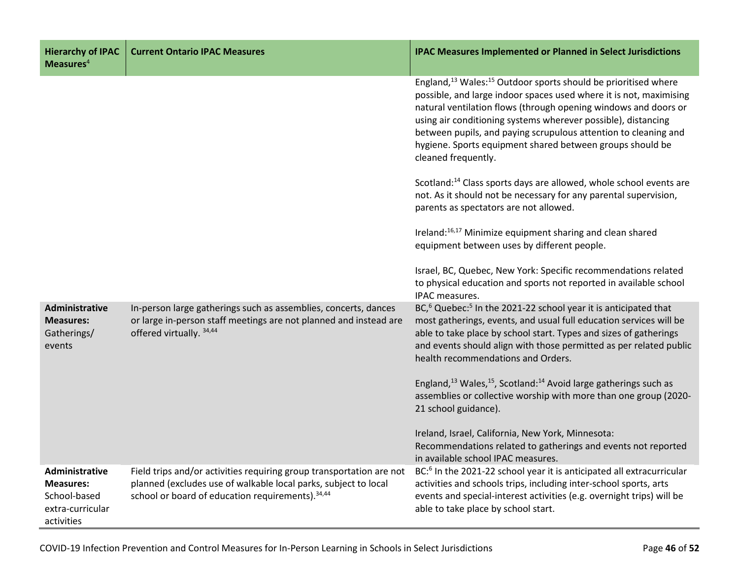| <b>Hierarchy of IPAC</b><br>Measures $4$                                             | <b>Current Ontario IPAC Measures</b>                                                                                                                                                         | <b>IPAC Measures Implemented or Planned in Select Jurisdictions</b>                                                                                                                                                                                                                                                                                                                                                                                     |
|--------------------------------------------------------------------------------------|----------------------------------------------------------------------------------------------------------------------------------------------------------------------------------------------|---------------------------------------------------------------------------------------------------------------------------------------------------------------------------------------------------------------------------------------------------------------------------------------------------------------------------------------------------------------------------------------------------------------------------------------------------------|
|                                                                                      |                                                                                                                                                                                              | England, <sup>13</sup> Wales: <sup>15</sup> Outdoor sports should be prioritised where<br>possible, and large indoor spaces used where it is not, maximising<br>natural ventilation flows (through opening windows and doors or<br>using air conditioning systems wherever possible), distancing<br>between pupils, and paying scrupulous attention to cleaning and<br>hygiene. Sports equipment shared between groups should be<br>cleaned frequently. |
|                                                                                      |                                                                                                                                                                                              | Scotland: <sup>14</sup> Class sports days are allowed, whole school events are<br>not. As it should not be necessary for any parental supervision,<br>parents as spectators are not allowed.                                                                                                                                                                                                                                                            |
|                                                                                      |                                                                                                                                                                                              | Ireland: <sup>16,17</sup> Minimize equipment sharing and clean shared<br>equipment between uses by different people.                                                                                                                                                                                                                                                                                                                                    |
|                                                                                      |                                                                                                                                                                                              | Israel, BC, Quebec, New York: Specific recommendations related<br>to physical education and sports not reported in available school<br>IPAC measures.                                                                                                                                                                                                                                                                                                   |
| Administrative<br><b>Measures:</b><br>Gatherings/<br>events                          | In-person large gatherings such as assemblies, concerts, dances<br>or large in-person staff meetings are not planned and instead are<br>offered virtually. 34,44                             | BC, <sup>6</sup> Quebec: <sup>5</sup> In the 2021-22 school year it is anticipated that<br>most gatherings, events, and usual full education services will be<br>able to take place by school start. Types and sizes of gatherings<br>and events should align with those permitted as per related public<br>health recommendations and Orders.                                                                                                          |
|                                                                                      |                                                                                                                                                                                              | England, $^{13}$ Wales, $^{15}$ , Scotland: $^{14}$ Avoid large gatherings such as<br>assemblies or collective worship with more than one group (2020-<br>21 school guidance).                                                                                                                                                                                                                                                                          |
|                                                                                      |                                                                                                                                                                                              | Ireland, Israel, California, New York, Minnesota:<br>Recommendations related to gatherings and events not reported<br>in available school IPAC measures.                                                                                                                                                                                                                                                                                                |
| Administrative<br><b>Measures:</b><br>School-based<br>extra-curricular<br>activities | Field trips and/or activities requiring group transportation are not<br>planned (excludes use of walkable local parks, subject to local<br>school or board of education requirements). 34,44 | BC: <sup>6</sup> In the 2021-22 school year it is anticipated all extracurricular<br>activities and schools trips, including inter-school sports, arts<br>events and special-interest activities (e.g. overnight trips) will be<br>able to take place by school start.                                                                                                                                                                                  |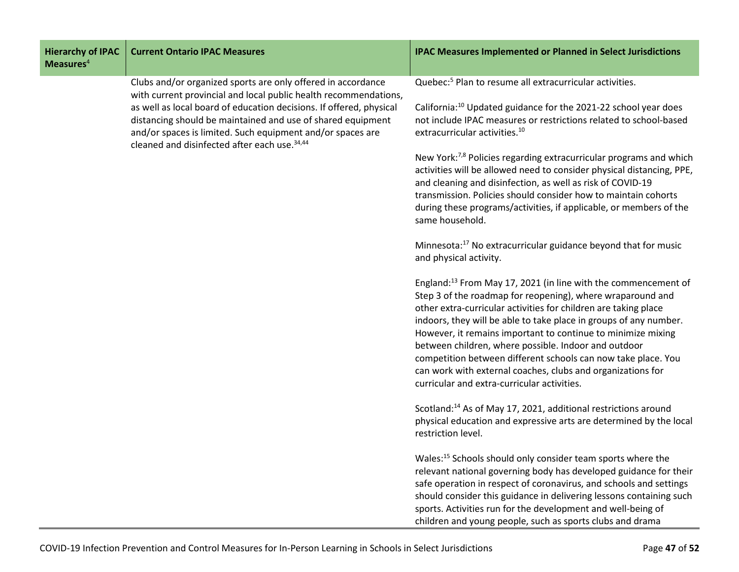| <b>Hierarchy of IPAC</b><br>Measures <sup>4</sup> | <b>Current Ontario IPAC Measures</b>                                                                                                                                                                                                                                                                                                                                                             | <b>IPAC Measures Implemented or Planned in Select Jurisdictions</b>                                                                                                                                                                                                                                                                                                                                                                                                                                                                                                                     |
|---------------------------------------------------|--------------------------------------------------------------------------------------------------------------------------------------------------------------------------------------------------------------------------------------------------------------------------------------------------------------------------------------------------------------------------------------------------|-----------------------------------------------------------------------------------------------------------------------------------------------------------------------------------------------------------------------------------------------------------------------------------------------------------------------------------------------------------------------------------------------------------------------------------------------------------------------------------------------------------------------------------------------------------------------------------------|
|                                                   | Clubs and/or organized sports are only offered in accordance<br>with current provincial and local public health recommendations,<br>as well as local board of education decisions. If offered, physical<br>distancing should be maintained and use of shared equipment<br>and/or spaces is limited. Such equipment and/or spaces are<br>cleaned and disinfected after each use. <sup>34,44</sup> | Quebec: <sup>5</sup> Plan to resume all extracurricular activities.<br>California: <sup>10</sup> Updated guidance for the 2021-22 school year does<br>not include IPAC measures or restrictions related to school-based<br>extracurricular activities. <sup>10</sup>                                                                                                                                                                                                                                                                                                                    |
|                                                   |                                                                                                                                                                                                                                                                                                                                                                                                  | New York: <sup>7,8</sup> Policies regarding extracurricular programs and which<br>activities will be allowed need to consider physical distancing, PPE,<br>and cleaning and disinfection, as well as risk of COVID-19<br>transmission. Policies should consider how to maintain cohorts<br>during these programs/activities, if applicable, or members of the<br>same household.                                                                                                                                                                                                        |
|                                                   |                                                                                                                                                                                                                                                                                                                                                                                                  | Minnesota: <sup>17</sup> No extracurricular guidance beyond that for music<br>and physical activity.                                                                                                                                                                                                                                                                                                                                                                                                                                                                                    |
|                                                   |                                                                                                                                                                                                                                                                                                                                                                                                  | England: <sup>13</sup> From May 17, 2021 (in line with the commencement of<br>Step 3 of the roadmap for reopening), where wraparound and<br>other extra-curricular activities for children are taking place<br>indoors, they will be able to take place in groups of any number.<br>However, it remains important to continue to minimize mixing<br>between children, where possible. Indoor and outdoor<br>competition between different schools can now take place. You<br>can work with external coaches, clubs and organizations for<br>curricular and extra-curricular activities. |
|                                                   |                                                                                                                                                                                                                                                                                                                                                                                                  | Scotland: <sup>14</sup> As of May 17, 2021, additional restrictions around<br>physical education and expressive arts are determined by the local<br>restriction level.                                                                                                                                                                                                                                                                                                                                                                                                                  |
|                                                   |                                                                                                                                                                                                                                                                                                                                                                                                  | Wales: <sup>15</sup> Schools should only consider team sports where the<br>relevant national governing body has developed guidance for their<br>safe operation in respect of coronavirus, and schools and settings<br>should consider this guidance in delivering lessons containing such<br>sports. Activities run for the development and well-being of<br>children and young people, such as sports clubs and drama                                                                                                                                                                  |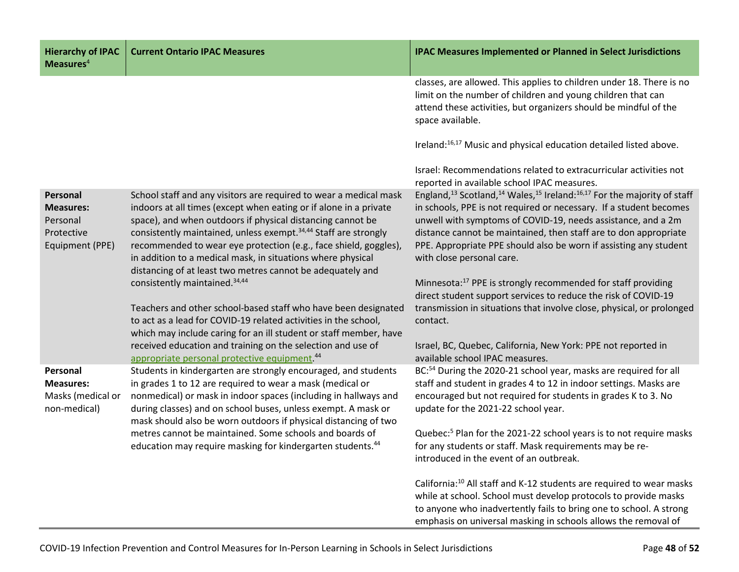| <b>Hierarchy of IPAC</b><br>Measures $4$                                  | <b>Current Ontario IPAC Measures</b>                                                                                                                                                                                                                                                                                                                                                                                                                                                 | <b>IPAC Measures Implemented or Planned in Select Jurisdictions</b>                                                                                                                                                                                                                                                                                                                                                                 |
|---------------------------------------------------------------------------|--------------------------------------------------------------------------------------------------------------------------------------------------------------------------------------------------------------------------------------------------------------------------------------------------------------------------------------------------------------------------------------------------------------------------------------------------------------------------------------|-------------------------------------------------------------------------------------------------------------------------------------------------------------------------------------------------------------------------------------------------------------------------------------------------------------------------------------------------------------------------------------------------------------------------------------|
|                                                                           |                                                                                                                                                                                                                                                                                                                                                                                                                                                                                      | classes, are allowed. This applies to children under 18. There is no<br>limit on the number of children and young children that can<br>attend these activities, but organizers should be mindful of the<br>space available.                                                                                                                                                                                                         |
|                                                                           |                                                                                                                                                                                                                                                                                                                                                                                                                                                                                      | Ireland: <sup>16,17</sup> Music and physical education detailed listed above.                                                                                                                                                                                                                                                                                                                                                       |
|                                                                           |                                                                                                                                                                                                                                                                                                                                                                                                                                                                                      | Israel: Recommendations related to extracurricular activities not<br>reported in available school IPAC measures.                                                                                                                                                                                                                                                                                                                    |
| Personal<br><b>Measures:</b><br>Personal<br>Protective<br>Equipment (PPE) | School staff and any visitors are required to wear a medical mask<br>indoors at all times (except when eating or if alone in a private<br>space), and when outdoors if physical distancing cannot be<br>consistently maintained, unless exempt. <sup>34,44</sup> Staff are strongly<br>recommended to wear eye protection (e.g., face shield, goggles),<br>in addition to a medical mask, in situations where physical<br>distancing of at least two metres cannot be adequately and | England, <sup>13</sup> Scotland, <sup>14</sup> Wales, <sup>15</sup> Ireland: <sup>16,17</sup> For the majority of staff<br>in schools, PPE is not required or necessary. If a student becomes<br>unwell with symptoms of COVID-19, needs assistance, and a 2m<br>distance cannot be maintained, then staff are to don appropriate<br>PPE. Appropriate PPE should also be worn if assisting any student<br>with close personal care. |
|                                                                           | consistently maintained. <sup>34,44</sup><br>Teachers and other school-based staff who have been designated<br>to act as a lead for COVID-19 related activities in the school,<br>which may include caring for an ill student or staff member, have                                                                                                                                                                                                                                  | Minnesota: <sup>17</sup> PPE is strongly recommended for staff providing<br>direct student support services to reduce the risk of COVID-19<br>transmission in situations that involve close, physical, or prolonged<br>contact.                                                                                                                                                                                                     |
|                                                                           | received education and training on the selection and use of<br>appropriate personal protective equipment. <sup>44</sup>                                                                                                                                                                                                                                                                                                                                                              | Israel, BC, Quebec, California, New York: PPE not reported in<br>available school IPAC measures.                                                                                                                                                                                                                                                                                                                                    |
| Personal<br><b>Measures:</b><br>Masks (medical or<br>non-medical)         | Students in kindergarten are strongly encouraged, and students<br>in grades 1 to 12 are required to wear a mask (medical or<br>nonmedical) or mask in indoor spaces (including in hallways and<br>during classes) and on school buses, unless exempt. A mask or<br>mask should also be worn outdoors if physical distancing of two                                                                                                                                                   | BC: <sup>54</sup> During the 2020-21 school year, masks are required for all<br>staff and student in grades 4 to 12 in indoor settings. Masks are<br>encouraged but not required for students in grades K to 3. No<br>update for the 2021-22 school year.                                                                                                                                                                           |
|                                                                           | metres cannot be maintained. Some schools and boards of<br>education may require masking for kindergarten students. <sup>44</sup>                                                                                                                                                                                                                                                                                                                                                    | Quebec: <sup>5</sup> Plan for the 2021-22 school years is to not require masks<br>for any students or staff. Mask requirements may be re-<br>introduced in the event of an outbreak.                                                                                                                                                                                                                                                |
|                                                                           |                                                                                                                                                                                                                                                                                                                                                                                                                                                                                      | California: <sup>10</sup> All staff and K-12 students are required to wear masks<br>while at school. School must develop protocols to provide masks<br>to anyone who inadvertently fails to bring one to school. A strong<br>emphasis on universal masking in schools allows the removal of                                                                                                                                         |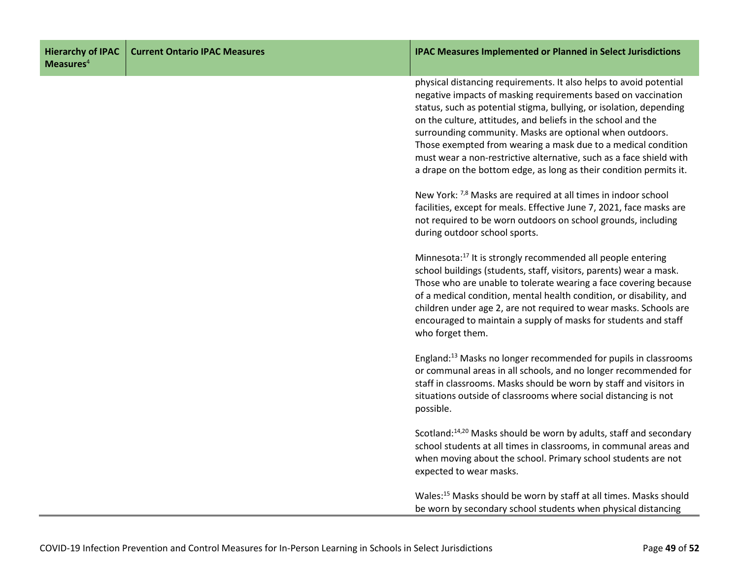|                          | Hierarchy of IPAC   Current Ontario IPAC Measures |
|--------------------------|---------------------------------------------------|
| $M$ easures <sup>4</sup> |                                                   |

#### **Current Ontario IPAC Measures IPAC Measures Implemented or Planned in Select Jurisdictions**

physical distancing requirements. It also helps to avoid potential negative impacts of masking requirements based on vaccination status, such as potential stigma, bullying, or isolation, depending on the culture, attitudes, and beliefs in the school and the surrounding community. Masks are optional when outdoors. Those exempted from wearing a mask due to a medical condition must wear a non-restrictive alternative, such as a face shield with a drape on the bottom edge, as long as their condition permits it.

New York: 7,8 Masks are required at all times in indoor school facilities, except for meals. Effective June 7, 2021, face masks are not required to be worn outdoors on school grounds, including during outdoor school sports.

Minnesota:<sup>17</sup> It is strongly recommended all people entering school buildings (students, staff, visitors, parents) wear a mask. Those who are unable to tolerate wearing a face covering because of a medical condition, mental health condition, or disability, and children under age 2, are not required to wear masks. Schools are encouraged to maintain a supply of masks for students and staff who forget them.

England:13 Masks no longer recommended for pupils in classrooms or communal areas in all schools, and no longer recommended for staff in classrooms. Masks should be worn by staff and visitors in situations outside of classrooms where social distancing is not possible.

Scotland:14,20 Masks should be worn by adults, staff and secondary school students at all times in classrooms, in communal areas and when moving about the school. Primary school students are not expected to wear masks.

Wales:15 Masks should be worn by staff at all times. Masks should be worn by secondary school students when physical distancing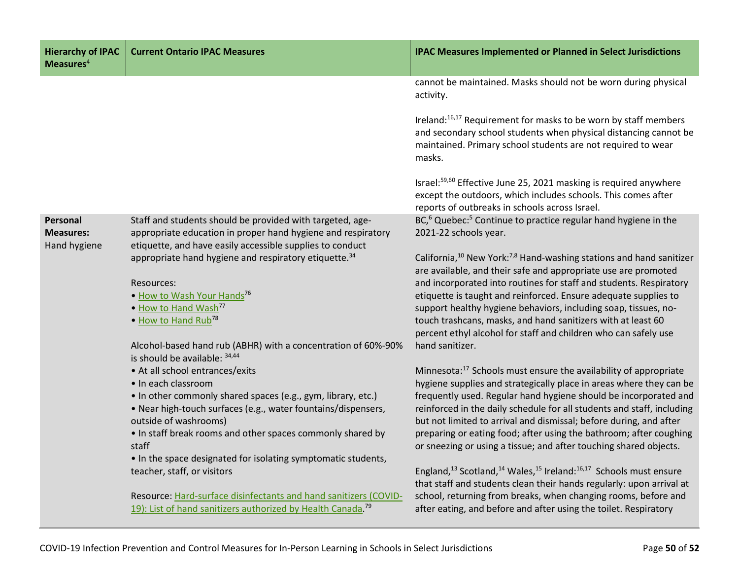| <b>Hierarchy of IPAC</b><br>Measures $4$     | <b>Current Ontario IPAC Measures</b>                                                                                                                                                   | <b>IPAC Measures Implemented or Planned in Select Jurisdictions</b>                                                                                                                                                       |
|----------------------------------------------|----------------------------------------------------------------------------------------------------------------------------------------------------------------------------------------|---------------------------------------------------------------------------------------------------------------------------------------------------------------------------------------------------------------------------|
|                                              |                                                                                                                                                                                        | cannot be maintained. Masks should not be worn during physical<br>activity.                                                                                                                                               |
|                                              |                                                                                                                                                                                        | Ireland: <sup>16,17</sup> Requirement for masks to be worn by staff members<br>and secondary school students when physical distancing cannot be<br>maintained. Primary school students are not required to wear<br>masks. |
|                                              |                                                                                                                                                                                        | Israel: <sup>59,60</sup> Effective June 25, 2021 masking is required anywhere<br>except the outdoors, which includes schools. This comes after<br>reports of outbreaks in schools across Israel.                          |
| Personal<br><b>Measures:</b><br>Hand hygiene | Staff and students should be provided with targeted, age-<br>appropriate education in proper hand hygiene and respiratory<br>etiquette, and have easily accessible supplies to conduct | BC, <sup>6</sup> Quebec: <sup>5</sup> Continue to practice regular hand hygiene in the<br>2021-22 schools year.                                                                                                           |
|                                              | appropriate hand hygiene and respiratory etiquette. <sup>34</sup>                                                                                                                      | California, <sup>10</sup> New York: <sup>7,8</sup> Hand-washing stations and hand sanitizer<br>are available, and their safe and appropriate use are promoted                                                             |
|                                              | Resources:<br>. How to Wash Your Hands <sup>76</sup>                                                                                                                                   | and incorporated into routines for staff and students. Respiratory<br>etiquette is taught and reinforced. Ensure adequate supplies to                                                                                     |
|                                              | . How to Hand Wash <sup>77</sup><br>• How to Hand Rub <sup>78</sup>                                                                                                                    | support healthy hygiene behaviors, including soap, tissues, no-<br>touch trashcans, masks, and hand sanitizers with at least 60<br>percent ethyl alcohol for staff and children who can safely use                        |
|                                              | Alcohol-based hand rub (ABHR) with a concentration of 60%-90%<br>is should be available: 34,44                                                                                         | hand sanitizer.                                                                                                                                                                                                           |
|                                              | • At all school entrances/exits<br>• In each classroom                                                                                                                                 | Minnesota: <sup>17</sup> Schools must ensure the availability of appropriate<br>hygiene supplies and strategically place in areas where they can be                                                                       |
|                                              | • In other commonly shared spaces (e.g., gym, library, etc.)                                                                                                                           | frequently used. Regular hand hygiene should be incorporated and                                                                                                                                                          |
|                                              | • Near high-touch surfaces (e.g., water fountains/dispensers,<br>outside of washrooms)                                                                                                 | reinforced in the daily schedule for all students and staff, including<br>but not limited to arrival and dismissal; before during, and after                                                                              |
|                                              | . In staff break rooms and other spaces commonly shared by<br>staff                                                                                                                    | preparing or eating food; after using the bathroom; after coughing<br>or sneezing or using a tissue; and after touching shared objects.                                                                                   |
|                                              | • In the space designated for isolating symptomatic students,<br>teacher, staff, or visitors                                                                                           | England, <sup>13</sup> Scotland, <sup>14</sup> Wales, <sup>15</sup> Ireland: <sup>16,17</sup> Schools must ensure<br>that staff and students clean their hands regularly: upon arrival at                                 |
|                                              | Resource: Hard-surface disinfectants and hand sanitizers (COVID-<br>19): List of hand sanitizers authorized by Health Canada. <sup>79</sup>                                            | school, returning from breaks, when changing rooms, before and<br>after eating, and before and after using the toilet. Respiratory                                                                                        |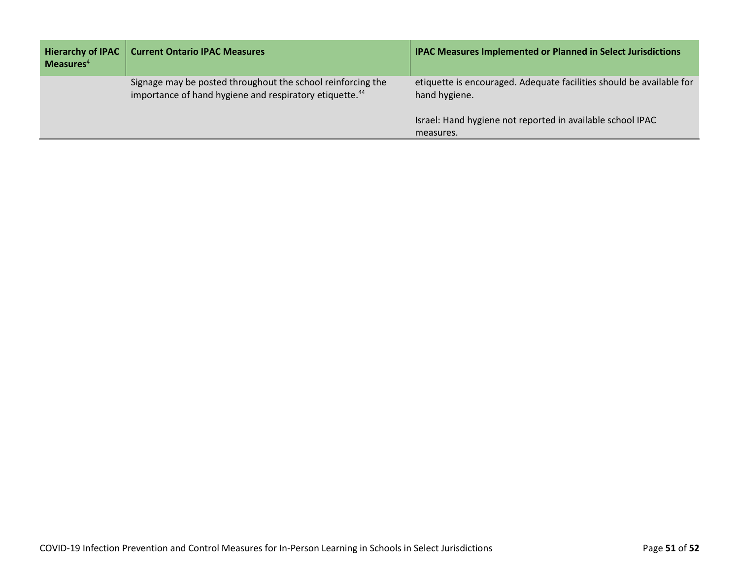| <b>Hierarchy of IPAC</b><br>Measures $4$ | <b>Current Ontario IPAC Measures</b>                                                                                               | <b>IPAC Measures Implemented or Planned in Select Jurisdictions</b>                   |
|------------------------------------------|------------------------------------------------------------------------------------------------------------------------------------|---------------------------------------------------------------------------------------|
|                                          | Signage may be posted throughout the school reinforcing the<br>importance of hand hygiene and respiratory etiquette. <sup>44</sup> | etiquette is encouraged. Adequate facilities should be available for<br>hand hygiene. |
|                                          |                                                                                                                                    | Israel: Hand hygiene not reported in available school IPAC<br>measures.               |